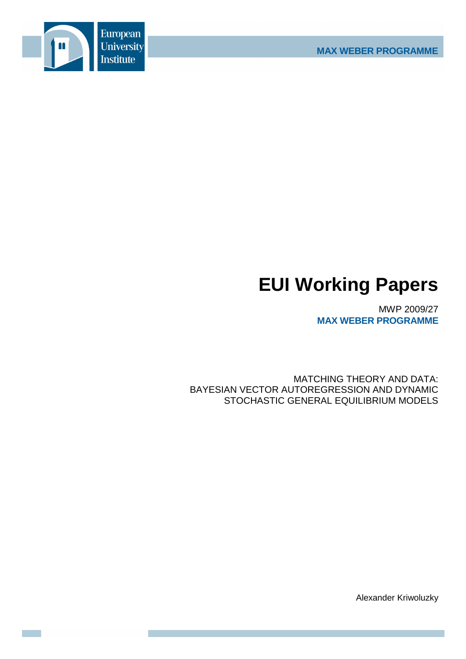

# **EUI Working Papers**

MWP 2009/27 **MAX WEBER PROGRAMME**

MATCHING THEORY AND DATA: BAYESIAN VECTOR AUTOREGRESSION AND DYNAMIC STOCHASTIC GENERAL EQUILIBRIUM MODELS

Alexander Kriwoluzky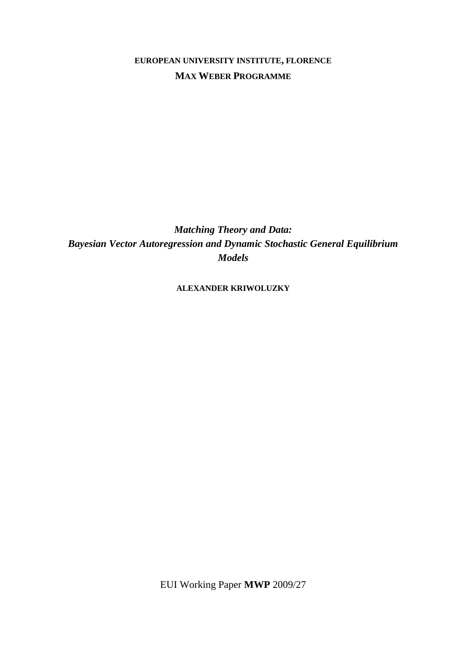## **EUROPEAN UNIVERSITY INSTITUTE, FLORENCE MAX WEBER PROGRAMME**

*Matching Theory and Data: Bayesian Vector Autoregression and Dynamic Stochastic General Equilibrium Models* 

**ALEXANDER KRIWOLUZKY**

EUI Working Paper **MWP** 2009/27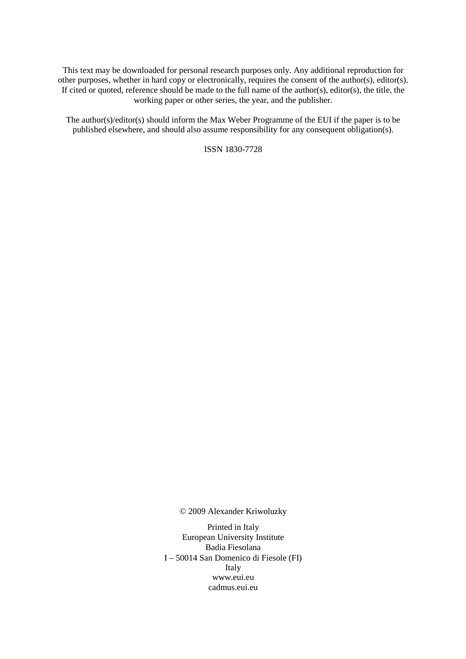This text may be downloaded for personal research purposes only. Any additional reproduction for other purposes, whether in hard copy or electronically, requires the consent of the author(s), editor(s). If cited or quoted, reference should be made to the full name of the author(s), editor(s), the title, the working paper or other series, the year, and the publisher.

The author(s)/editor(s) should inform the Max Weber Programme of the EUI if the paper is to be published elsewhere, and should also assume responsibility for any consequent obligation(s).

ISSN 1830-7728

© 2009 Alexander Kriwoluzky

Printed in Italy European University Institute Badia Fiesolana I – 50014 San Domenico di Fiesole (FI) Italy www.eui.eu cadmus.eui.eu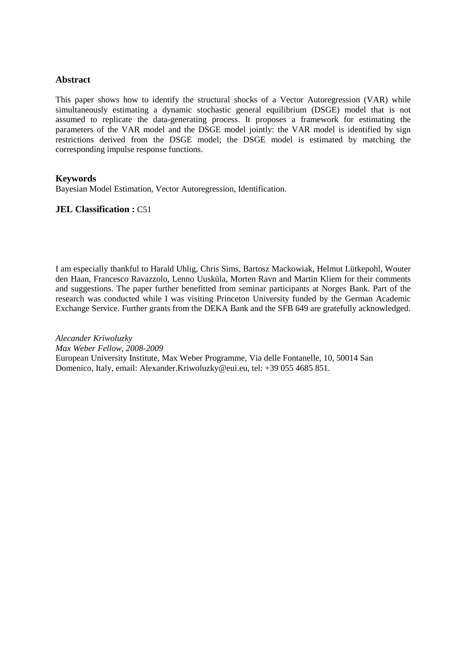#### **Abstract**

This paper shows how to identify the structural shocks of a Vector Autoregression (VAR) while simultaneously estimating a dynamic stochastic general equilibrium (DSGE) model that is not assumed to replicate the data-generating process. It proposes a framework for estimating the parameters of the VAR model and the DSGE model jointly: the VAR model is identified by sign restrictions derived from the DSGE model; the DSGE model is estimated by matching the corresponding impulse response functions.

#### **Keywords**

Bayesian Model Estimation, Vector Autoregression, Identification.

#### **JEL Classification :** C51

I am especially thankful to Harald Uhlig, Chris Sims, Bartosz Mackowiak, Helmut Lütkepohl, Wouter den Haan, Francesco Ravazzolo, Lenno Uusküla, Morten Ravn and Martin Kliem for their comments and suggestions. The paper further benefitted from seminar participants at Norges Bank. Part of the research was conducted while I was visiting Princeton University funded by the German Academic Exchange Service. Further grants from the DEKA Bank and the SFB 649 are gratefully acknowledged.

*Alecander Kriwoluzky Max Weber Fellow, 2008-2009*  European University Institute, Max Weber Programme, Via delle Fontanelle, 10, 50014 San Domenico, Italy, email: Alexander.Kriwoluzky@eui.eu, tel: +39 055 4685 851.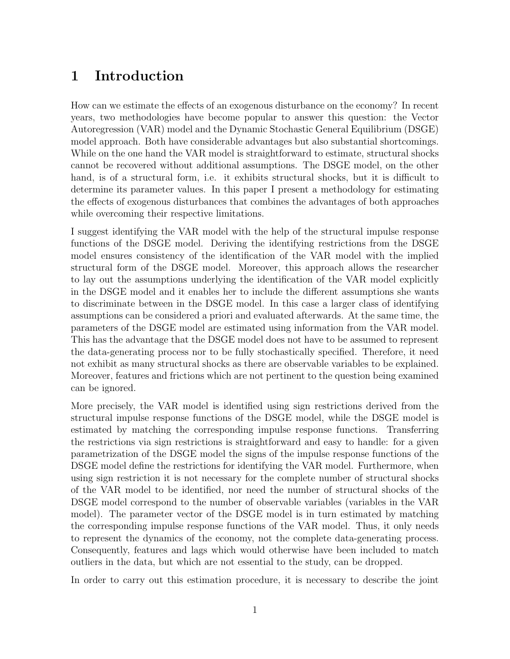## 1 Introduction

How can we estimate the effects of an exogenous disturbance on the economy? In recent years, two methodologies have become popular to answer this question: the Vector Autoregression (VAR) model and the Dynamic Stochastic General Equilibrium (DSGE) model approach. Both have considerable advantages but also substantial shortcomings. While on the one hand the VAR model is straightforward to estimate, structural shocks cannot be recovered without additional assumptions. The DSGE model, on the other hand, is of a structural form, i.e. it exhibits structural shocks, but it is difficult to determine its parameter values. In this paper I present a methodology for estimating the effects of exogenous disturbances that combines the advantages of both approaches while overcoming their respective limitations.

I suggest identifying the VAR model with the help of the structural impulse response functions of the DSGE model. Deriving the identifying restrictions from the DSGE model ensures consistency of the identification of the VAR model with the implied structural form of the DSGE model. Moreover, this approach allows the researcher to lay out the assumptions underlying the identification of the VAR model explicitly in the DSGE model and it enables her to include the different assumptions she wants to discriminate between in the DSGE model. In this case a larger class of identifying assumptions can be considered a priori and evaluated afterwards. At the same time, the parameters of the DSGE model are estimated using information from the VAR model. This has the advantage that the DSGE model does not have to be assumed to represent the data-generating process nor to be fully stochastically specified. Therefore, it need not exhibit as many structural shocks as there are observable variables to be explained. Moreover, features and frictions which are not pertinent to the question being examined can be ignored.

More precisely, the VAR model is identified using sign restrictions derived from the structural impulse response functions of the DSGE model, while the DSGE model is estimated by matching the corresponding impulse response functions. Transferring the restrictions via sign restrictions is straightforward and easy to handle: for a given parametrization of the DSGE model the signs of the impulse response functions of the DSGE model define the restrictions for identifying the VAR model. Furthermore, when using sign restriction it is not necessary for the complete number of structural shocks of the VAR model to be identified, nor need the number of structural shocks of the DSGE model correspond to the number of observable variables (variables in the VAR model). The parameter vector of the DSGE model is in turn estimated by matching the corresponding impulse response functions of the VAR model. Thus, it only needs to represent the dynamics of the economy, not the complete data-generating process. Consequently, features and lags which would otherwise have been included to match outliers in the data, but which are not essential to the study, can be dropped.

In order to carry out this estimation procedure, it is necessary to describe the joint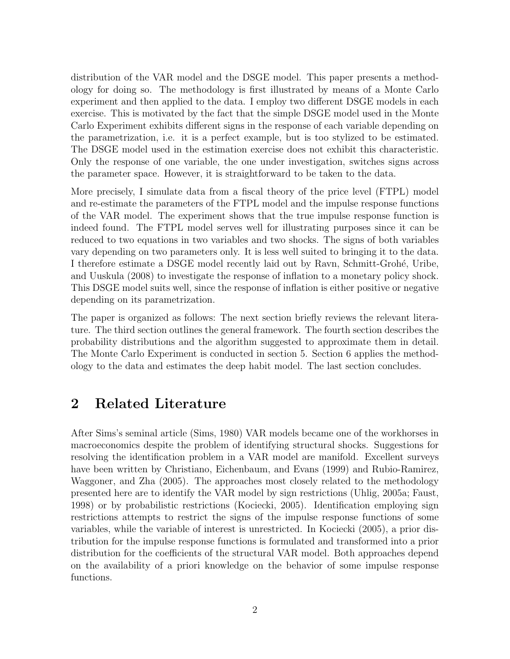distribution of the VAR model and the DSGE model. This paper presents a methodology for doing so. The methodology is first illustrated by means of a Monte Carlo experiment and then applied to the data. I employ two different DSGE models in each exercise. This is motivated by the fact that the simple DSGE model used in the Monte Carlo Experiment exhibits different signs in the response of each variable depending on the parametrization, i.e. it is a perfect example, but is too stylized to be estimated. The DSGE model used in the estimation exercise does not exhibit this characteristic. Only the response of one variable, the one under investigation, switches signs across the parameter space. However, it is straightforward to be taken to the data.

More precisely, I simulate data from a fiscal theory of the price level (FTPL) model and re-estimate the parameters of the FTPL model and the impulse response functions of the VAR model. The experiment shows that the true impulse response function is indeed found. The FTPL model serves well for illustrating purposes since it can be reduced to two equations in two variables and two shocks. The signs of both variables vary depending on two parameters only. It is less well suited to bringing it to the data. I therefore estimate a DSGE model recently laid out by Ravn, Schmitt-Grohé, Uribe, and Uuskula (2008) to investigate the response of inflation to a monetary policy shock. This DSGE model suits well, since the response of inflation is either positive or negative depending on its parametrization.

The paper is organized as follows: The next section briefly reviews the relevant literature. The third section outlines the general framework. The fourth section describes the probability distributions and the algorithm suggested to approximate them in detail. The Monte Carlo Experiment is conducted in section 5. Section 6 applies the methodology to the data and estimates the deep habit model. The last section concludes.

## 2 Related Literature

After Sims's seminal article (Sims, 1980) VAR models became one of the workhorses in macroeconomics despite the problem of identifying structural shocks. Suggestions for resolving the identification problem in a VAR model are manifold. Excellent surveys have been written by Christiano, Eichenbaum, and Evans (1999) and Rubio-Ramirez, Waggoner, and Zha (2005). The approaches most closely related to the methodology presented here are to identify the VAR model by sign restrictions (Uhlig, 2005a; Faust, 1998) or by probabilistic restrictions (Kociecki, 2005). Identification employing sign restrictions attempts to restrict the signs of the impulse response functions of some variables, while the variable of interest is unrestricted. In Kociecki (2005), a prior distribution for the impulse response functions is formulated and transformed into a prior distribution for the coefficients of the structural VAR model. Both approaches depend on the availability of a priori knowledge on the behavior of some impulse response functions.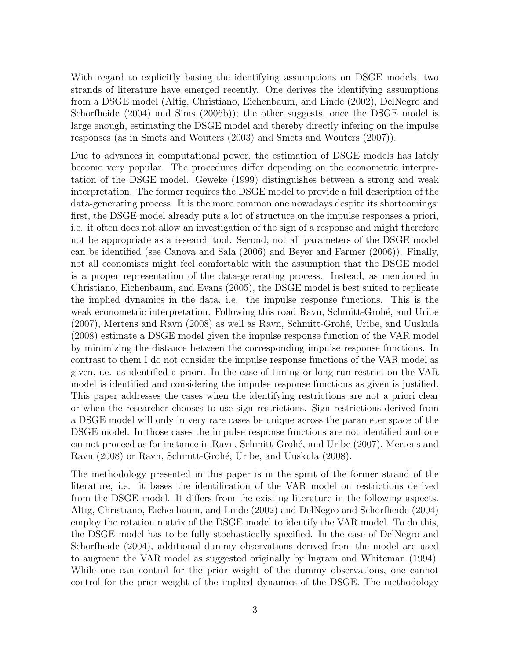With regard to explicitly basing the identifying assumptions on DSGE models, two strands of literature have emerged recently. One derives the identifying assumptions from a DSGE model (Altig, Christiano, Eichenbaum, and Linde (2002), DelNegro and Schorfheide  $(2004)$  and Sims  $(2006b)$ ; the other suggests, once the DSGE model is large enough, estimating the DSGE model and thereby directly infering on the impulse responses (as in Smets and Wouters (2003) and Smets and Wouters (2007)).

Due to advances in computational power, the estimation of DSGE models has lately become very popular. The procedures differ depending on the econometric interpretation of the DSGE model. Geweke (1999) distinguishes between a strong and weak interpretation. The former requires the DSGE model to provide a full description of the data-generating process. It is the more common one nowadays despite its shortcomings: first, the DSGE model already puts a lot of structure on the impulse responses a priori, i.e. it often does not allow an investigation of the sign of a response and might therefore not be appropriate as a research tool. Second, not all parameters of the DSGE model can be identified (see Canova and Sala (2006) and Beyer and Farmer (2006)). Finally, not all economists might feel comfortable with the assumption that the DSGE model is a proper representation of the data-generating process. Instead, as mentioned in Christiano, Eichenbaum, and Evans (2005), the DSGE model is best suited to replicate the implied dynamics in the data, i.e. the impulse response functions. This is the weak econometric interpretation. Following this road Ravn, Schmitt-Grohé, and Uribe  $(2007)$ , Mertens and Ravn  $(2008)$  as well as Ravn, Schmitt-Grohé, Uribe, and Uuskula (2008) estimate a DSGE model given the impulse response function of the VAR model by minimizing the distance between the corresponding impulse response functions. In contrast to them I do not consider the impulse response functions of the VAR model as given, i.e. as identified a priori. In the case of timing or long-run restriction the VAR model is identified and considering the impulse response functions as given is justified. This paper addresses the cases when the identifying restrictions are not a priori clear or when the researcher chooses to use sign restrictions. Sign restrictions derived from a DSGE model will only in very rare cases be unique across the parameter space of the DSGE model. In those cases the impulse response functions are not identified and one cannot proceed as for instance in Ravn, Schmitt-Grohé, and Uribe (2007), Mertens and Ravn (2008) or Ravn, Schmitt-Grohé, Uribe, and Uuskula (2008).

The methodology presented in this paper is in the spirit of the former strand of the literature, i.e. it bases the identification of the VAR model on restrictions derived from the DSGE model. It differs from the existing literature in the following aspects. Altig, Christiano, Eichenbaum, and Linde (2002) and DelNegro and Schorfheide (2004) employ the rotation matrix of the DSGE model to identify the VAR model. To do this, the DSGE model has to be fully stochastically specified. In the case of DelNegro and Schorfheide (2004), additional dummy observations derived from the model are used to augment the VAR model as suggested originally by Ingram and Whiteman (1994). While one can control for the prior weight of the dummy observations, one cannot control for the prior weight of the implied dynamics of the DSGE. The methodology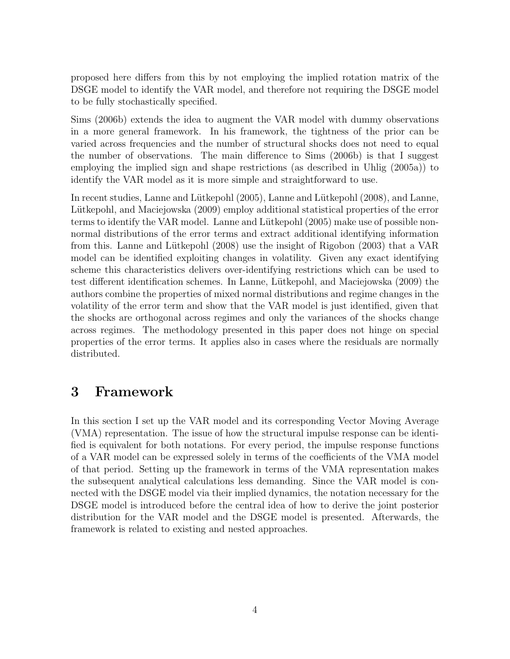proposed here differs from this by not employing the implied rotation matrix of the DSGE model to identify the VAR model, and therefore not requiring the DSGE model to be fully stochastically specified.

Sims (2006b) extends the idea to augment the VAR model with dummy observations in a more general framework. In his framework, the tightness of the prior can be varied across frequencies and the number of structural shocks does not need to equal the number of observations. The main difference to Sims (2006b) is that I suggest employing the implied sign and shape restrictions (as described in Uhlig (2005a)) to identify the VAR model as it is more simple and straightforward to use.

In recent studies, Lanne and Lütkepohl (2005), Lanne and Lütkepohl (2008), and Lanne, Lütkepohl, and Maciejowska (2009) employ additional statistical properties of the error terms to identify the VAR model. Lanne and Lütkepohl (2005) make use of possible nonnormal distributions of the error terms and extract additional identifying information from this. Lanne and Lütkepohl  $(2008)$  use the insight of Rigobon  $(2003)$  that a VAR model can be identified exploiting changes in volatility. Given any exact identifying scheme this characteristics delivers over-identifying restrictions which can be used to test different identification schemes. In Lanne, Lütkepohl, and Maciejowska (2009) the authors combine the properties of mixed normal distributions and regime changes in the volatility of the error term and show that the VAR model is just identified, given that the shocks are orthogonal across regimes and only the variances of the shocks change across regimes. The methodology presented in this paper does not hinge on special properties of the error terms. It applies also in cases where the residuals are normally distributed.

## 3 Framework

In this section I set up the VAR model and its corresponding Vector Moving Average (VMA) representation. The issue of how the structural impulse response can be identified is equivalent for both notations. For every period, the impulse response functions of a VAR model can be expressed solely in terms of the coefficients of the VMA model of that period. Setting up the framework in terms of the VMA representation makes the subsequent analytical calculations less demanding. Since the VAR model is connected with the DSGE model via their implied dynamics, the notation necessary for the DSGE model is introduced before the central idea of how to derive the joint posterior distribution for the VAR model and the DSGE model is presented. Afterwards, the framework is related to existing and nested approaches.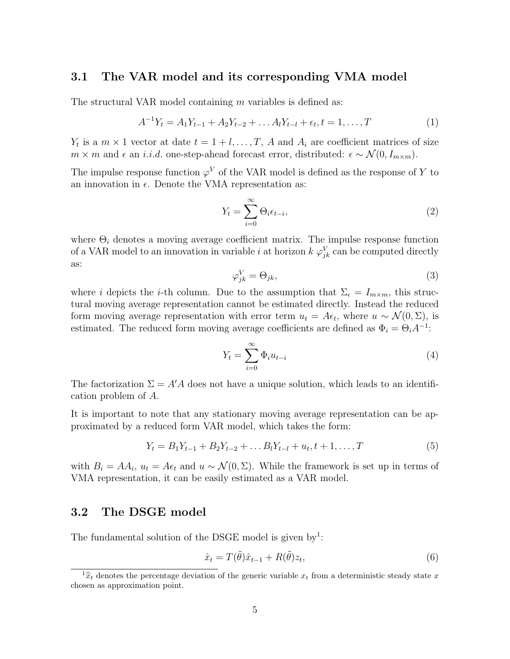### 3.1 The VAR model and its corresponding VMA model

The structural VAR model containing m variables is defined as:

$$
A^{-1}Y_t = A_1Y_{t-1} + A_2Y_{t-2} + \dots A_lY_{t-l} + \epsilon_t, t = 1, \dots, T
$$
\n(1)

 $Y_t$  is a  $m \times 1$  vector at date  $t = 1 + l, \ldots, T$ , A and  $A_i$  are coefficient matrices of size  $m \times m$  and  $\epsilon$  an *i.i.d.* one-step-ahead forecast error, distributed:  $\epsilon \sim \mathcal{N}(0, I_{m \times m})$ .

The impulse response function  $\varphi^V$  of the VAR model is defined as the response of Y to an innovation in  $\epsilon$ . Denote the VMA representation as:

$$
Y_t = \sum_{i=0}^{\infty} \Theta_i \epsilon_{t-i},\tag{2}
$$

where  $\Theta_i$  denotes a moving average coefficient matrix. The impulse response function of a VAR model to an innovation in variable *i* at horizon  $k \varphi_{jk}^V$  can be computed directly as:

$$
\varphi_{jk}^V = \Theta_{jk},\tag{3}
$$

where i depicts the i-th column. Due to the assumption that  $\Sigma_{\epsilon} = I_{m \times m}$ , this structural moving average representation cannot be estimated directly. Instead the reduced form moving average representation with error term  $u_t = A\epsilon_t$ , where  $u \sim \mathcal{N}(0, \Sigma)$ , is estimated. The reduced form moving average coefficients are defined as  $\Phi_i = \Theta_i A^{-1}$ :

$$
Y_t = \sum_{i=0}^{\infty} \Phi_i u_{t-i}
$$
\n<sup>(4)</sup>

The factorization  $\Sigma = A'A$  does not have a unique solution, which leads to an identification problem of A.

It is important to note that any stationary moving average representation can be approximated by a reduced form VAR model, which takes the form:

$$
Y_t = B_1 Y_{t-1} + B_2 Y_{t-2} + \dots B_l Y_{t-l} + u_t, t+1, \dots, T
$$
\n<sup>(5)</sup>

with  $B_i = AA_i$ ,  $u_t = A\epsilon_t$  and  $u \sim \mathcal{N}(0, \Sigma)$ . While the framework is set up in terms of VMA representation, it can be easily estimated as a VAR model.

### 3.2 The DSGE model

The fundamental solution of the DSGE model is given by<sup>1</sup>:

$$
\hat{x}_t = T(\tilde{\theta})\hat{x}_{t-1} + R(\tilde{\theta})z_t,\tag{6}
$$

 ${}^{1}\hat{x}_{t}$  denotes the percentage deviation of the generic variable  $x_{t}$  from a deterministic steady state x chosen as approximation point.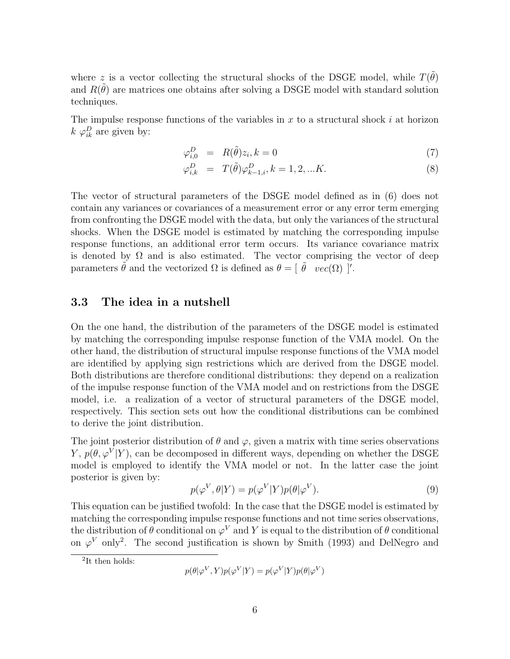where z is a vector collecting the structural shocks of the DSGE model, while  $T(\tilde{\theta})$ and  $R(\tilde{\theta})$  are matrices one obtains after solving a DSGE model with standard solution techniques.

The impulse response functions of the variables in  $x$  to a structural shock  $i$  at horizon  $k \varphi_{ik}^D$  are given by:

$$
\varphi_{i,0}^D = R(\tilde{\theta})z_i, k = 0 \tag{7}
$$

$$
\varphi_{i,k}^D = T(\tilde{\theta}) \varphi_{k-1,i}^D, k = 1, 2, \dots K.
$$
\n(8)

The vector of structural parameters of the DSGE model defined as in (6) does not contain any variances or covariances of a measurement error or any error term emerging from confronting the DSGE model with the data, but only the variances of the structural shocks. When the DSGE model is estimated by matching the corresponding impulse response functions, an additional error term occurs. Its variance covariance matrix is denoted by  $\Omega$  and is also estimated. The vector comprising the vector of deep parameters  $\tilde{\theta}$  and the vectorized  $\Omega$  is defined as  $\theta = [\tilde{\theta} \quad vec(\Omega)]'$ .

### 3.3 The idea in a nutshell

On the one hand, the distribution of the parameters of the DSGE model is estimated by matching the corresponding impulse response function of the VMA model. On the other hand, the distribution of structural impulse response functions of the VMA model are identified by applying sign restrictions which are derived from the DSGE model. Both distributions are therefore conditional distributions: they depend on a realization of the impulse response function of the VMA model and on restrictions from the DSGE model, i.e. a realization of a vector of structural parameters of the DSGE model, respectively. This section sets out how the conditional distributions can be combined to derive the joint distribution.

The joint posterior distribution of  $\theta$  and  $\varphi$ , given a matrix with time series observations Y,  $p(\theta, \varphi^V | Y)$ , can be decomposed in different ways, depending on whether the DSGE model is employed to identify the VMA model or not. In the latter case the joint posterior is given by:

$$
p(\varphi^V, \theta | Y) = p(\varphi^V | Y) p(\theta | \varphi^V).
$$
\n(9)

This equation can be justified twofold: In the case that the DSGE model is estimated by matching the corresponding impulse response functions and not time series observations, the distribution of  $\theta$  conditional on  $\varphi^V$  and Y is equal to the distribution of  $\theta$  conditional on  $\varphi^V$  only<sup>2</sup>. The second justification is shown by Smith (1993) and DelNegro and

<sup>2</sup>It then holds:

$$
p(\theta | \varphi^V, Y)p(\varphi^V | Y) = p(\varphi^V | Y)p(\theta | \varphi^V)
$$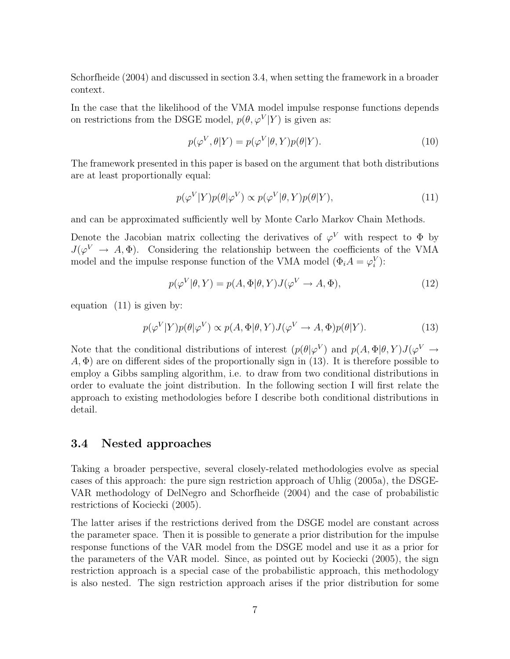Schorfheide (2004) and discussed in section 3.4, when setting the framework in a broader context.

In the case that the likelihood of the VMA model impulse response functions depends on restrictions from the DSGE model,  $p(\theta, \varphi^V|Y)$  is given as:

$$
p(\varphi^V, \theta | Y) = p(\varphi^V | \theta, Y)p(\theta | Y).
$$
\n(10)

The framework presented in this paper is based on the argument that both distributions are at least proportionally equal:

$$
p(\varphi^V|Y)p(\theta|\varphi^V) \propto p(\varphi^V|\theta, Y)p(\theta|Y),\tag{11}
$$

and can be approximated sufficiently well by Monte Carlo Markov Chain Methods.

Denote the Jacobian matrix collecting the derivatives of  $\varphi^V$  with respect to  $\Phi$  by  $J(\varphi^V \to A, \Phi)$ . Considering the relationship between the coefficients of the VMA model and the impulse response function of the VMA model  $(\Phi_i A = \varphi_i^V)$ :

$$
p(\varphi^V|\theta, Y) = p(A, \Phi|\theta, Y)J(\varphi^V \to A, \Phi), \tag{12}
$$

equation (11) is given by:

$$
p(\varphi^V|Y)p(\theta|\varphi^V) \propto p(A, \Phi|\theta, Y)J(\varphi^V \to A, \Phi)p(\theta|Y). \tag{13}
$$

Note that the conditional distributions of interest  $(p(\theta|\varphi^V)$  and  $p(A, \Phi|\theta, Y)J(\varphi^V \to Y)$  $A, \Phi$ ) are on different sides of the proportionally sign in (13). It is therefore possible to employ a Gibbs sampling algorithm, i.e. to draw from two conditional distributions in order to evaluate the joint distribution. In the following section I will first relate the approach to existing methodologies before I describe both conditional distributions in detail.

### 3.4 Nested approaches

Taking a broader perspective, several closely-related methodologies evolve as special cases of this approach: the pure sign restriction approach of Uhlig (2005a), the DSGE-VAR methodology of DelNegro and Schorfheide (2004) and the case of probabilistic restrictions of Kociecki (2005).

The latter arises if the restrictions derived from the DSGE model are constant across the parameter space. Then it is possible to generate a prior distribution for the impulse response functions of the VAR model from the DSGE model and use it as a prior for the parameters of the VAR model. Since, as pointed out by Kociecki (2005), the sign restriction approach is a special case of the probabilistic approach, this methodology is also nested. The sign restriction approach arises if the prior distribution for some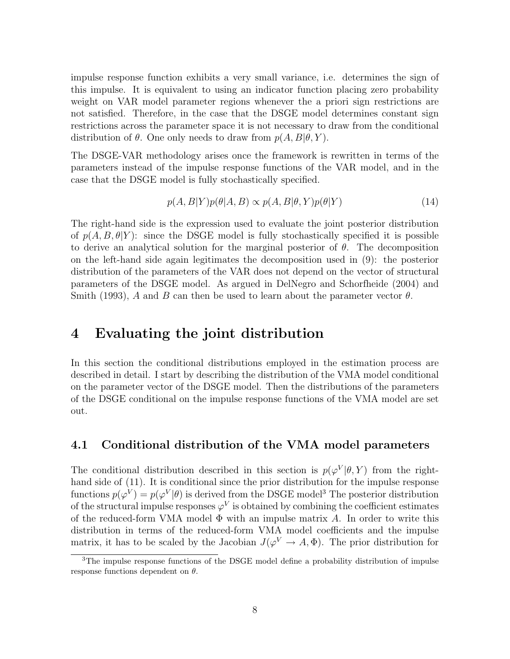impulse response function exhibits a very small variance, i.e. determines the sign of this impulse. It is equivalent to using an indicator function placing zero probability weight on VAR model parameter regions whenever the a priori sign restrictions are not satisfied. Therefore, in the case that the DSGE model determines constant sign restrictions across the parameter space it is not necessary to draw from the conditional distribution of  $\theta$ . One only needs to draw from  $p(A, B | \theta, Y)$ .

The DSGE-VAR methodology arises once the framework is rewritten in terms of the parameters instead of the impulse response functions of the VAR model, and in the case that the DSGE model is fully stochastically specified.

$$
p(A, B|Y)p(\theta|A, B) \propto p(A, B|\theta, Y)p(\theta|Y)
$$
\n(14)

The right-hand side is the expression used to evaluate the joint posterior distribution of  $p(A, B, \theta|Y)$ : since the DSGE model is fully stochastically specified it is possible to derive an analytical solution for the marginal posterior of  $\theta$ . The decomposition on the left-hand side again legitimates the decomposition used in (9): the posterior distribution of the parameters of the VAR does not depend on the vector of structural parameters of the DSGE model. As argued in DelNegro and Schorfheide (2004) and Smith (1993), A and B can then be used to learn about the parameter vector  $\theta$ .

## 4 Evaluating the joint distribution

In this section the conditional distributions employed in the estimation process are described in detail. I start by describing the distribution of the VMA model conditional on the parameter vector of the DSGE model. Then the distributions of the parameters of the DSGE conditional on the impulse response functions of the VMA model are set out.

### 4.1 Conditional distribution of the VMA model parameters

The conditional distribution described in this section is  $p(\varphi^V|\theta, Y)$  from the righthand side of (11). It is conditional since the prior distribution for the impulse response functions  $p(\varphi^V) = p(\varphi^V|\theta)$  is derived from the DSGE model<sup>3</sup> The posterior distribution of the structural impulse responses  $\varphi^V$  is obtained by combining the coefficient estimates of the reduced-form VMA model  $\Phi$  with an impulse matrix A. In order to write this distribution in terms of the reduced-form VMA model coefficients and the impulse matrix, it has to be scaled by the Jacobian  $J(\varphi^V \to A, \Phi)$ . The prior distribution for

<sup>&</sup>lt;sup>3</sup>The impulse response functions of the DSGE model define a probability distribution of impulse response functions dependent on  $\theta$ .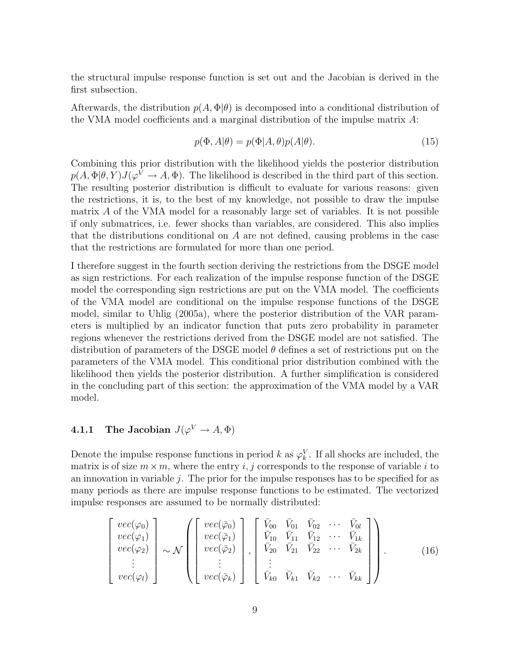the structural impulse response function is set out and the Jacobian is derived in the first subsection.

Afterwards, the distribution  $p(A, \Phi | \theta)$  is decomposed into a conditional distribution of the VMA model coefficients and a marginal distribution of the impulse matrix A:

$$
p(\Phi, A|\theta) = p(\Phi|A, \theta)p(A|\theta).
$$
\n(15)

Combining this prior distribution with the likelihood yields the posterior distribution  $p(A, \Phi | \theta, Y) J(\varphi^V \to A, \Phi)$ . The likelihood is described in the third part of this section. The resulting posterior distribution is difficult to evaluate for various reasons: given the restrictions, it is, to the best of my knowledge, not possible to draw the impulse matrix A of the VMA model for a reasonably large set of variables. It is not possible if only submatrices, i.e. fewer shocks than variables, are considered. This also implies that the distributions conditional on A are not defined, causing problems in the case that the restrictions are formulated for more than one period.

I therefore suggest in the fourth section deriving the restrictions from the DSGE model as sign restrictions. For each realization of the impulse response function of the DSGE model the corresponding sign restrictions are put on the VMA model. The coefficients of the VMA model are conditional on the impulse response functions of the DSGE model, similar to Uhlig (2005a), where the posterior distribution of the VAR parameters is multiplied by an indicator function that puts zero probability in parameter regions whenever the restrictions derived from the DSGE model are not satisfied. The distribution of parameters of the DSGE model  $\theta$  defines a set of restrictions put on the parameters of the VMA model. This conditional prior distribution combined with the likelihood then yields the posterior distribution. A further simplification is considered in the concluding part of this section: the approximation of the VMA model by a VAR model.

### **4.1.1** The Jacobian  $J(\varphi^V \to A, \Phi)$

Denote the impulse response functions in period k as  $\varphi_k^V$ . If all shocks are included, the matrix is of size  $m \times m$ , where the entry i, j corresponds to the response of variable i to an innovation in variable  $j$ . The prior for the impulse responses has to be specified for as many periods as there are impulse response functions to be estimated. The vectorized impulse responses are assumed to be normally distributed:

$$
\begin{bmatrix}\nvec(\varphi_0) \\
vec(\varphi_1) \\
vec(\varphi_2) \\
\vdots \\
vec(\varphi_l)\n\end{bmatrix}\n\sim\n\mathcal{N}\n\begin{bmatrix}\nvec(\bar{\varphi}_0) \\
vec(\bar{\varphi}_1) \\
vec(\bar{\varphi}_2) \\
\vdots \\
vec(\bar{\varphi}_k)\n\end{bmatrix},\n\begin{bmatrix}\n\bar{V}_{00} & \bar{V}_{01} & \bar{V}_{02} & \cdots & \bar{V}_{0l} \\
\bar{V}_{10} & \bar{V}_{11} & \bar{V}_{12} & \cdots & \bar{V}_{1k} \\
\bar{V}_{20} & \bar{V}_{21} & \bar{V}_{22} & \cdots & \bar{V}_{2k} \\
\vdots & \vdots & & \vdots \\
\bar{V}_{k0} & \bar{V}_{k1} & \bar{V}_{k2} & \cdots & \bar{V}_{kk}\n\end{bmatrix}.
$$
\n(16)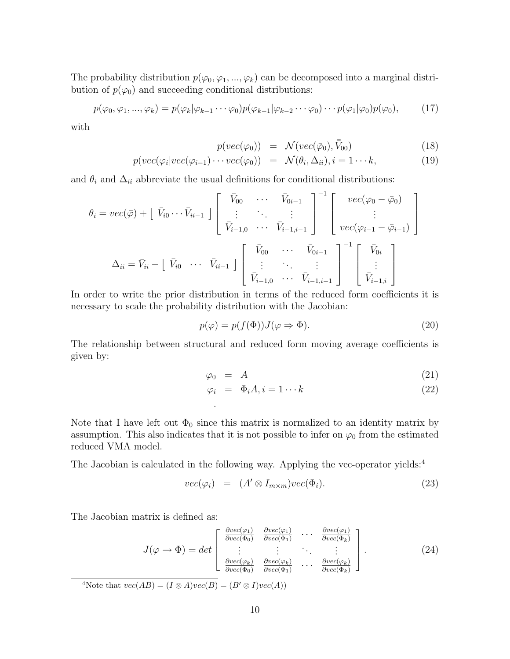The probability distribution  $p(\varphi_0, \varphi_1, ..., \varphi_k)$  can be decomposed into a marginal distribution of  $p(\varphi_0)$  and succeeding conditional distributions:

$$
p(\varphi_0, \varphi_1, ..., \varphi_k) = p(\varphi_k | \varphi_{k-1} \cdots \varphi_0) p(\varphi_{k-1} | \varphi_{k-2} \cdots \varphi_0) \cdots p(\varphi_1 | \varphi_0) p(\varphi_0), \qquad (17)
$$

with

$$
p(vec(\varphi_0)) = \mathcal{N}(vec(\bar{\varphi}_0), \bar{\bar{V}}_{00})
$$
\n(18)

$$
p(vec(\varphi_i|vec(\varphi_{i-1})\cdots vec(\varphi_0)) = \mathcal{N}(\theta_i, \Delta_{ii}), i = 1 \cdots k,
$$
\n(19)

and  $\theta_i$  and  $\Delta_{ii}$  abbreviate the usual definitions for conditional distributions:

$$
\theta_{i} = vec(\bar{\varphi}) + [\bar{V}_{i0} \cdots \bar{V}_{i i-1}] \begin{bmatrix} \bar{V}_{00} & \cdots & \bar{V}_{0 i-1} \\ \vdots & \ddots & \vdots \\ \bar{V}_{i-1,0} & \cdots & \bar{V}_{i-1,i-1} \end{bmatrix}^{-1} \begin{bmatrix} vec(\varphi_{0} - \bar{\varphi}_{0}) \\ \vdots \\ vec(\varphi_{i-1} - \bar{\varphi}_{i-1}) \end{bmatrix}
$$

$$
\Delta_{ii} = \bar{V}_{ii} - [\bar{V}_{i0} \cdots \bar{V}_{i i-1}] \begin{bmatrix} \bar{V}_{00} & \cdots & \bar{V}_{0 i-1} \\ \vdots & \ddots & \vdots \\ \bar{V}_{i-1,0} & \cdots & \bar{V}_{i-1,i-1} \end{bmatrix}^{-1} \begin{bmatrix} \bar{V}_{0i} \\ \vdots \\ \bar{V}_{i-1,i} \end{bmatrix}
$$

In order to write the prior distribution in terms of the reduced form coefficients it is necessary to scale the probability distribution with the Jacobian:

$$
p(\varphi) = p(f(\Phi))J(\varphi \Rightarrow \Phi). \tag{20}
$$

The relationship between structural and reduced form moving average coefficients is given by:

$$
\varphi_0 = A \tag{21}
$$

$$
\varphi_i = \Phi_i A, i = 1 \cdots k \tag{22}
$$

Note that I have left out  $\Phi_0$  since this matrix is normalized to an identity matrix by assumption. This also indicates that it is not possible to infer on  $\varphi_0$  from the estimated reduced VMA model.

The Jacobian is calculated in the following way. Applying the vec-operator yields:<sup>4</sup>

.

$$
vec(\varphi_i) = (A' \otimes I_{m \times m})vec(\Phi_i). \qquad (23)
$$

The Jacobian matrix is defined as:

$$
J(\varphi \to \Phi) = det \begin{bmatrix} \frac{\partial vec(\varphi_1)}{\partial vec(\Phi_0)} & \frac{\partial vec(\varphi_1)}{\partial vec(\Phi_1)} & \cdots & \frac{\partial vec(\varphi_1)}{\partial vec(\Phi_k)} \\ \vdots & \vdots & \ddots & \vdots \\ \frac{\partial vec(\varphi_k)}{\partial vec(\Phi_0)} & \frac{\partial vec(\varphi_k)}{\partial vec(\Phi_1)} & \cdots & \frac{\partial vec(\varphi_k)}{\partial vec(\Phi_k)} \end{bmatrix} .
$$
 (24)

<sup>4</sup>Note that  $vec(AB) = (I \otimes A)vec(B) = (B' \otimes I)vec(A)$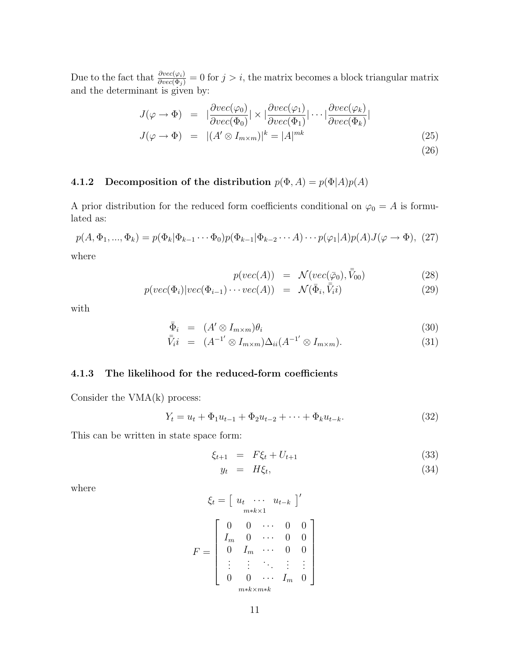Due to the fact that  $\frac{\partial vec(\varphi_i)}{\partial vec(\Phi_j)} = 0$  for  $j > i$ , the matrix becomes a block triangular matrix and the determinant is given by:

$$
J(\varphi \to \Phi) = |\frac{\partial vec(\varphi_0)}{\partial vec(\Phi_0)}| \times |\frac{\partial vec(\varphi_1)}{\partial vec(\Phi_1)}| \cdots |\frac{\partial vec(\varphi_k)}{\partial vec(\Phi_k)}|
$$
  

$$
J(\varphi \to \Phi) = |(A' \otimes I_{m \times m})|^k = |A|^{mk}
$$
(25)

### 4.1.2 Decomposition of the distribution  $p(\Phi, A) = p(\Phi|A)p(A)$

A prior distribution for the reduced form coefficients conditional on  $\varphi_0 = A$  is formulated as:

$$
p(A, \Phi_1, ..., \Phi_k) = p(\Phi_k | \Phi_{k-1} \cdots \Phi_0) p(\Phi_{k-1} | \Phi_{k-2} \cdots A) \cdots p(\varphi_1 | A) p(A) J(\varphi \to \Phi), (27)
$$

where

$$
p(vec(A)) = \mathcal{N}(vec(\bar{\varphi}_0), \bar{\bar{V}}_{00}) \tag{28}
$$

$$
p(vec(\Phi_i)|vec(\Phi_{i-1})\cdots vec(A)) = \mathcal{N}(\bar{\Phi}_i, \bar{\bar{V}}_i)
$$
\n(29)

with

$$
\bar{\Phi}_i = (A' \otimes I_{m \times m})\theta_i \tag{30}
$$

$$
\bar{\bar{V}}_i i = (A^{-1'} \otimes I_{m \times m}) \Delta_{ii} (A^{-1'} \otimes I_{m \times m}). \tag{31}
$$

#### 4.1.3 The likelihood for the reduced-form coefficients

Consider the VMA(k) process:

$$
Y_t = u_t + \Phi_1 u_{t-1} + \Phi_2 u_{t-2} + \dots + \Phi_k u_{t-k}.
$$
\n(32)

This can be written in state space form:

$$
\xi_{t+1} = F\xi_t + U_{t+1} \tag{33}
$$

$$
y_t = H\xi_t, \tag{34}
$$

where

$$
\xi_t = \begin{bmatrix} u_t & \cdots & u_{t-k} \end{bmatrix}'
$$

$$
F = \begin{bmatrix} 0 & 0 & \cdots & 0 & 0 \\ I_m & 0 & \cdots & 0 & 0 \\ 0 & I_m & \cdots & 0 & 0 \\ \vdots & \vdots & \ddots & \vdots & \vdots \\ 0 & 0 & \cdots & I_m & 0 \end{bmatrix}
$$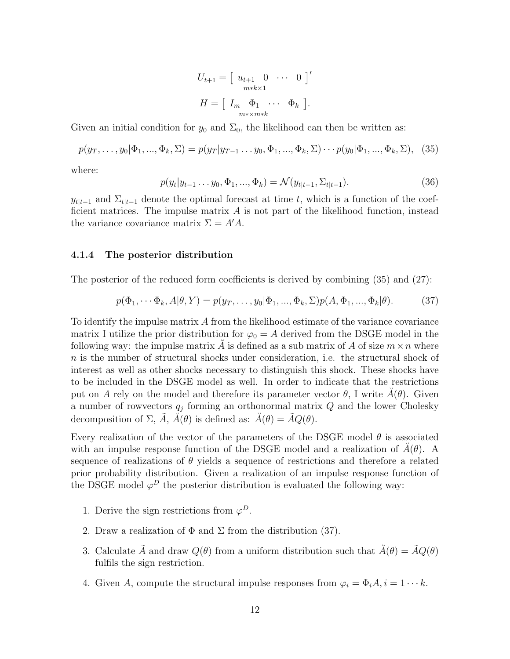$$
U_{t+1} = \begin{bmatrix} u_{t+1} & 0 & \cdots & 0 \end{bmatrix}'
$$

$$
H = \begin{bmatrix} I_m & \Phi_1 & \cdots & \Phi_k \end{bmatrix}.
$$

Given an initial condition for  $y_0$  and  $\Sigma_0$ , the likelihood can then be written as:

$$
p(y_T, \ldots, y_0 | \Phi_1, \ldots, \Phi_k, \Sigma) = p(y_T | y_{T-1} \ldots y_0, \Phi_1, \ldots, \Phi_k, \Sigma) \cdots p(y_0 | \Phi_1, \ldots, \Phi_k, \Sigma), \quad (35)
$$

where:

$$
p(y_t|y_{t-1}\dots y_0, \Phi_1, \dots, \Phi_k) = \mathcal{N}(y_{t|t-1}, \Sigma_{t|t-1}).
$$
\n(36)

 $y_{t|t-1}$  and  $\Sigma_{t|t-1}$  denote the optimal forecast at time t, which is a function of the coefficient matrices. The impulse matrix  $A$  is not part of the likelihood function, instead the variance covariance matrix  $\Sigma = A'A$ .

#### 4.1.4 The posterior distribution

The posterior of the reduced form coefficients is derived by combining (35) and (27):

$$
p(\Phi_1, \cdots \Phi_k, A | \theta, Y) = p(y_T, \dots, y_0 | \Phi_1, \dots, \Phi_k, \Sigma) p(A, \Phi_1, \dots, \Phi_k | \theta).
$$
 (37)

To identify the impulse matrix A from the likelihood estimate of the variance covariance matrix I utilize the prior distribution for  $\varphi_0 = A$  derived from the DSGE model in the following way: the impulse matrix A is defined as a sub matrix of A of size  $m \times n$  where n is the number of structural shocks under consideration, i.e. the structural shock of interest as well as other shocks necessary to distinguish this shock. These shocks have to be included in the DSGE model as well. In order to indicate that the restrictions put on A rely on the model and therefore its parameter vector  $\theta$ , I write  $\tilde{A}(\theta)$ . Given a number of rowvectors  $q_j$  forming an orthonormal matrix  $Q$  and the lower Cholesky decomposition of  $\Sigma$ ,  $\tilde{A}$ ,  $\tilde{A}(\theta)$  is defined as:  $\tilde{A}(\theta) = \tilde{A}Q(\theta)$ .

Every realization of the vector of the parameters of the DSGE model  $\theta$  is associated with an impulse response function of the DSGE model and a realization of  $\check{A}(\theta)$ . A sequence of realizations of  $\theta$  yields a sequence of restrictions and therefore a related prior probability distribution. Given a realization of an impulse response function of the DSGE model  $\varphi^D$  the posterior distribution is evaluated the following way:

- 1. Derive the sign restrictions from  $\varphi^D$ .
- 2. Draw a realization of  $\Phi$  and  $\Sigma$  from the distribution (37).
- 3. Calculate  $\tilde{A}$  and draw  $Q(\theta)$  from a uniform distribution such that  $\tilde{A}(\theta) = \tilde{A}Q(\theta)$ fulfils the sign restriction.
- 4. Given A, compute the structural impulse responses from  $\varphi_i = \Phi_i A, i = 1 \cdots k$ .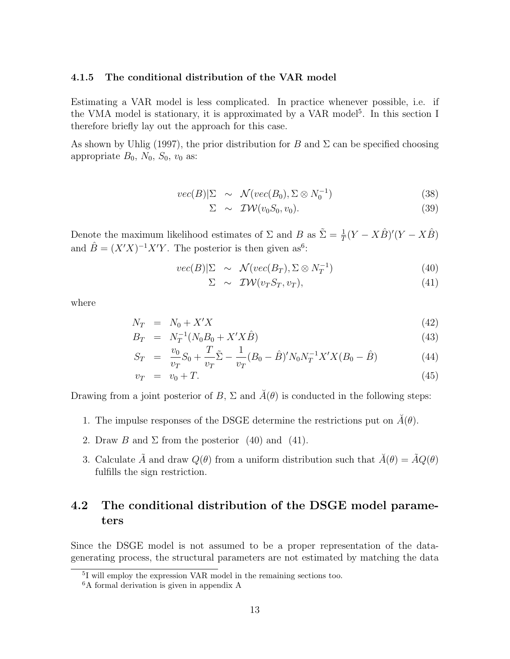#### 4.1.5 The conditional distribution of the VAR model

Estimating a VAR model is less complicated. In practice whenever possible, i.e. if the VMA model is stationary, it is approximated by a VAR model<sup>5</sup>. In this section I therefore briefly lay out the approach for this case.

As shown by Uhlig (1997), the prior distribution for B and  $\Sigma$  can be specified choosing appropriate  $B_0$ ,  $N_0$ ,  $S_0$ ,  $v_0$  as:

$$
vec(B)|\Sigma \sim \mathcal{N}(vec(B_0), \Sigma \otimes N_0^{-1})
$$
\n(38)

$$
\Sigma \sim \mathcal{IW}(v_0 S_0, v_0). \tag{39}
$$

Denote the maximum likelihood estimates of  $\Sigma$  and  $B$  as  $\tilde{\Sigma} = \frac{1}{T}(Y - X\hat{B})'(Y - X\hat{B})$ and  $\hat{B} = (X'X)^{-1}X'Y$ . The posterior is then given as<sup>6</sup>:

$$
vec(B)|\Sigma \sim \mathcal{N}(vec(B_T), \Sigma \otimes N_T^{-1}) \tag{40}
$$

$$
\Sigma \sim \mathcal{IW}(v_T S_T, v_T), \tag{41}
$$

where

$$
N_T = N_0 + X'X \tag{42}
$$

$$
B_T = N_T^{-1}(N_0 B_0 + X' X \hat{B}) \tag{43}
$$

$$
S_T = \frac{v_0}{v_T} S_0 + \frac{T}{v_T} \tilde{\Sigma} - \frac{1}{v_T} (B_0 - \hat{B})' N_0 N_T^{-1} X' X (B_0 - \hat{B})
$$
(44)

$$
v_T = v_0 + T. \tag{45}
$$

Drawing from a joint posterior of B,  $\Sigma$  and  $\breve{A}(\theta)$  is conducted in the following steps:

- 1. The impulse responses of the DSGE determine the restrictions put on  $\hat{A}(\theta)$ .
- 2. Draw B and  $\Sigma$  from the posterior (40) and (41).
- 3. Calculate  $\tilde{A}$  and draw  $Q(\theta)$  from a uniform distribution such that  $\tilde{A}(\theta) = \tilde{A}Q(\theta)$ fulfills the sign restriction.

## 4.2 The conditional distribution of the DSGE model parameters

Since the DSGE model is not assumed to be a proper representation of the datagenerating process, the structural parameters are not estimated by matching the data

<sup>5</sup> I will employ the expression VAR model in the remaining sections too.

<sup>6</sup>A formal derivation is given in appendix A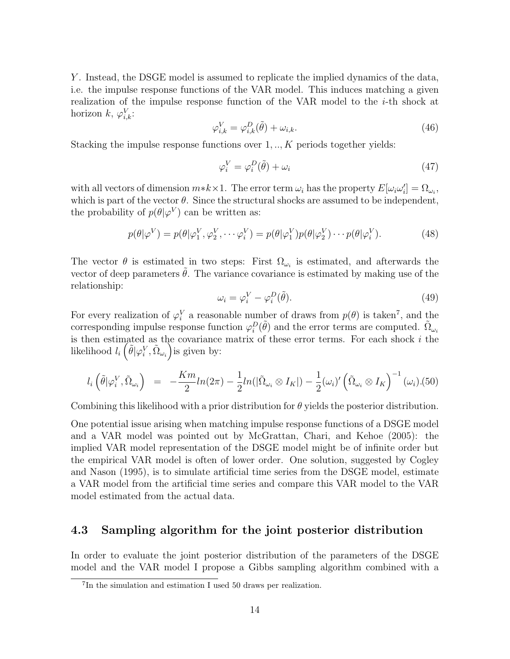Y. Instead, the DSGE model is assumed to replicate the implied dynamics of the data, i.e. the impulse response functions of the VAR model. This induces matching a given realization of the impulse response function of the VAR model to the i-th shock at horizon  $k, \varphi_{i,k}^V$ :

$$
\varphi_{i,k}^V = \varphi_{i,k}^D(\tilde{\theta}) + \omega_{i,k}.\tag{46}
$$

Stacking the impulse response functions over  $1, \ldots, K$  periods together yields:

$$
\varphi_i^V = \varphi_i^D(\tilde{\theta}) + \omega_i \tag{47}
$$

with all vectors of dimension  $m*k \times 1$ . The error term  $\omega_i$  has the property  $E[\omega_i \omega'_i] = \Omega_{\omega_i}$ , which is part of the vector  $\theta$ . Since the structural shocks are assumed to be independent, the probability of  $p(\theta|\varphi^V)$  can be written as:

$$
p(\theta|\varphi^V) = p(\theta|\varphi_1^V, \varphi_2^V, \cdots \varphi_i^V) = p(\theta|\varphi_1^V)p(\theta|\varphi_2^V) \cdots p(\theta|\varphi_i^V).
$$
 (48)

The vector  $\theta$  is estimated in two steps: First  $\Omega_{\omega_i}$  is estimated, and afterwards the vector of deep parameters  $\theta$ . The variance covariance is estimated by making use of the relationship:

$$
\omega_i = \varphi_i^V - \varphi_i^D(\tilde{\theta}).\tag{49}
$$

For every realization of  $\varphi_i^V$  a reasonable number of draws from  $p(\theta)$  is taken<sup>7</sup>, and the corresponding impulse response function  $\varphi_i^D(\tilde{\theta})$  and the error terms are computed.  $\tilde{\Omega}_{\omega_i}$ is then estimated as the covariance matrix of these error terms. For each shock  $i$  the likelihood  $l_i\left(\tilde{\theta}|\varphi_i^V,\tilde{\Omega}_{\omega_i}\right)$ is given by:

$$
l_i\left(\tilde{\theta}|\varphi_i^V,\tilde{\Omega}_{\omega_i}\right) = -\frac{Km}{2}ln(2\pi) - \frac{1}{2}ln(|\tilde{\Omega}_{\omega_i} \otimes I_K|) - \frac{1}{2}(\omega_i)'(\tilde{\Omega}_{\omega_i} \otimes I_K)^{-1}(\omega_i). (50)
$$

Combining this likelihood with a prior distribution for  $\theta$  yields the posterior distribution.

One potential issue arising when matching impulse response functions of a DSGE model and a VAR model was pointed out by McGrattan, Chari, and Kehoe (2005): the implied VAR model representation of the DSGE model might be of infinite order but the empirical VAR model is often of lower order. One solution, suggested by Cogley and Nason (1995), is to simulate artificial time series from the DSGE model, estimate a VAR model from the artificial time series and compare this VAR model to the VAR model estimated from the actual data.

### 4.3 Sampling algorithm for the joint posterior distribution

In order to evaluate the joint posterior distribution of the parameters of the DSGE model and the VAR model I propose a Gibbs sampling algorithm combined with a

<sup>7</sup> In the simulation and estimation I used 50 draws per realization.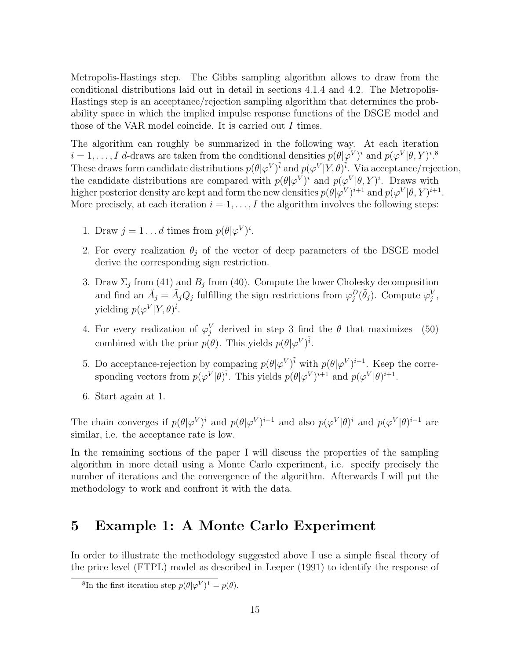Metropolis-Hastings step. The Gibbs sampling algorithm allows to draw from the conditional distributions laid out in detail in sections 4.1.4 and 4.2. The Metropolis-Hastings step is an acceptance/rejection sampling algorithm that determines the probability space in which the implied impulse response functions of the DSGE model and those of the VAR model coincide. It is carried out I times.

The algorithm can roughly be summarized in the following way. At each iteration  $i = 1, \ldots, I$  d-draws are taken from the conditional densities  $p(\theta | \varphi^V)^i$  and  $p(\varphi^V | \theta, Y)^i$ .<sup>8</sup> These draws form candidate distributions  $p(\theta|\varphi^V)^{\tilde{i}}$  and  $p(\varphi^V|Y,\theta)^{\tilde{i}}$ . Via acceptance/rejection, the candidate distributions are compared with  $p(\theta|\varphi^V)^i$  and  $p(\varphi^V|\theta, Y)^i$ . Draws with higher posterior density are kept and form the new densities  $p(\theta|\varphi^V)^{i+1}$  and  $p(\varphi^V|\theta, Y)^{i+1}$ . More precisely, at each iteration  $i = 1, \ldots, I$  the algorithm involves the following steps:

- 1. Draw  $j = 1 \dots d$  times from  $p(\theta | \varphi^V)^i$ .
- 2. For every realization  $\theta_j$  of the vector of deep parameters of the DSGE model derive the corresponding sign restriction.
- 3. Draw  $\Sigma_j$  from (41) and  $B_j$  from (40). Compute the lower Cholesky decomposition and find an  $\check{A}_j = \tilde{A}_j Q_j$  fulfilling the sign restrictions from  $\varphi_j^D(\tilde{\theta}_j)$ . Compute  $\varphi_j^V$ , yielding  $p(\varphi^V|Y,\theta)^{\tilde{i}}$ .
- 4. For every realization of  $\varphi_j^V$  derived in step 3 find the  $\theta$  that maximizes (50) combined with the prior  $p(\theta)$ . This yields  $p(\theta|\varphi^V)^{\tilde{i}}$ .
- 5. Do acceptance-rejection by comparing  $p(\theta|\varphi^V)^{\tilde{i}}$  with  $p(\theta|\varphi^V)^{i-1}$ . Keep the corresponding vectors from  $p(\varphi^V|\theta)^{\tilde{i}}$ . This yields  $p(\theta|\varphi^V)^{i+1}$  and  $p(\varphi^V|\theta)^{i+1}$ .
- 6. Start again at 1.

The chain converges if  $p(\theta|\varphi^V)^i$  and  $p(\theta|\varphi^V)^{i-1}$  and also  $p(\varphi^V|\theta)^i$  and  $p(\varphi^V|\theta)^{i-1}$  are similar, i.e. the acceptance rate is low.

In the remaining sections of the paper I will discuss the properties of the sampling algorithm in more detail using a Monte Carlo experiment, i.e. specify precisely the number of iterations and the convergence of the algorithm. Afterwards I will put the methodology to work and confront it with the data.

## 5 Example 1: A Monte Carlo Experiment

In order to illustrate the methodology suggested above I use a simple fiscal theory of the price level (FTPL) model as described in Leeper (1991) to identify the response of

<sup>&</sup>lt;sup>8</sup>In the first iteration step  $p(\theta|\varphi^V)^1 = p(\theta)$ .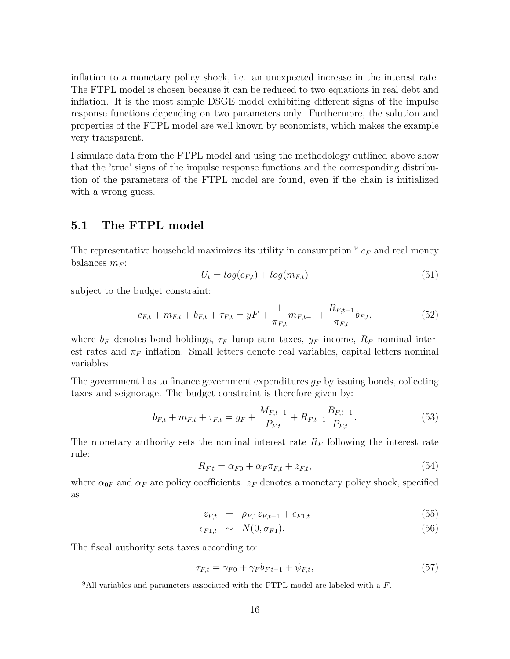inflation to a monetary policy shock, i.e. an unexpected increase in the interest rate. The FTPL model is chosen because it can be reduced to two equations in real debt and inflation. It is the most simple DSGE model exhibiting different signs of the impulse response functions depending on two parameters only. Furthermore, the solution and properties of the FTPL model are well known by economists, which makes the example very transparent.

I simulate data from the FTPL model and using the methodology outlined above show that the 'true' signs of the impulse response functions and the corresponding distribution of the parameters of the FTPL model are found, even if the chain is initialized with a wrong guess.

### 5.1 The FTPL model

The representative household maximizes its utility in consumption  $9 c_F$  and real money balances  $m_F$ :

$$
U_t = log(c_{F,t}) + log(m_{F,t})
$$
\n
$$
(51)
$$

subject to the budget constraint:

$$
c_{F,t} + m_{F,t} + b_{F,t} + \tau_{F,t} = yF + \frac{1}{\pi_{F,t}} m_{F,t-1} + \frac{R_{F,t-1}}{\pi_{F,t}} b_{F,t},
$$
\n(52)

where  $b_F$  denotes bond holdings,  $\tau_F$  lump sum taxes,  $y_F$  income,  $R_F$  nominal interest rates and  $\pi_F$  inflation. Small letters denote real variables, capital letters nominal variables.

The government has to finance government expenditures  $g_F$  by issuing bonds, collecting taxes and seignorage. The budget constraint is therefore given by:

$$
b_{F,t} + m_{F,t} + \tau_{F,t} = g_F + \frac{M_{F,t-1}}{P_{F,t}} + R_{F,t-1} \frac{B_{F,t-1}}{P_{F,t}}.
$$
\n
$$
(53)
$$

The monetary authority sets the nominal interest rate  $R_F$  following the interest rate rule:

$$
R_{F,t} = \alpha_{F0} + \alpha_F \pi_{F,t} + z_{F,t},\tag{54}
$$

where  $\alpha_{0F}$  and  $\alpha_F$  are policy coefficients.  $z_F$  denotes a monetary policy shock, specified as

$$
z_{F,t} = \rho_{F,1} z_{F,t-1} + \epsilon_{F1,t} \tag{55}
$$

$$
\epsilon_{F1,t} \sim N(0, \sigma_{F1}). \tag{56}
$$

The fiscal authority sets taxes according to:

$$
\tau_{F,t} = \gamma_{F0} + \gamma_F b_{F,t-1} + \psi_{F,t},\tag{57}
$$

 $9$ All variables and parameters associated with the FTPL model are labeled with a  $F$ .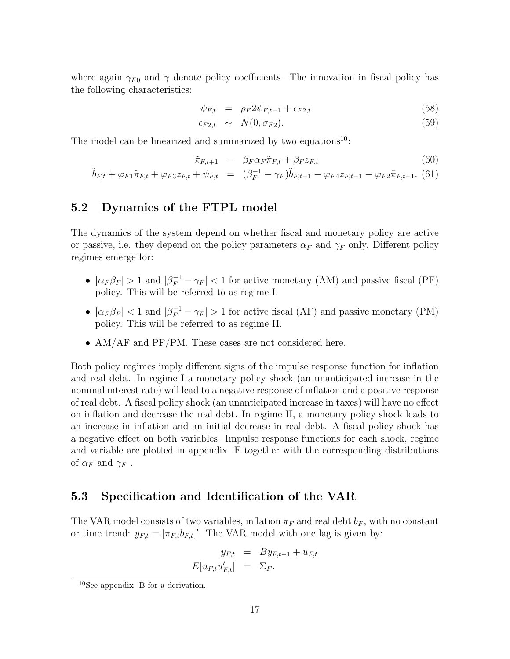where again  $\gamma_{F0}$  and  $\gamma$  denote policy coefficients. The innovation in fiscal policy has the following characteristics:

$$
\psi_{F,t} = \rho_F 2\psi_{F,t-1} + \epsilon_{F2,t} \tag{58}
$$

$$
\epsilon_{F2,t} \sim N(0, \sigma_{F2}). \tag{59}
$$

The model can be linearized and summarized by two equations<sup>10</sup>:

$$
\tilde{\pi}_{F,t+1} = \beta_F \alpha_F \tilde{\pi}_{F,t} + \beta_F z_{F,t} \tag{60}
$$

$$
\tilde{b}_{F,t} + \varphi_{F1}\tilde{\pi}_{F,t} + \varphi_{F3}z_{F,t} + \psi_{F,t} = (\beta_F^{-1} - \gamma_F)\tilde{b}_{F,t-1} - \varphi_{F4}z_{F,t-1} - \varphi_{F2}\tilde{\pi}_{F,t-1}.
$$
 (61)

### 5.2 Dynamics of the FTPL model

The dynamics of the system depend on whether fiscal and monetary policy are active or passive, i.e. they depend on the policy parameters  $\alpha_F$  and  $\gamma_F$  only. Different policy regimes emerge for:

- $|\alpha_F \beta_F| > 1$  and  $|\beta_F^{-1} \gamma_F| < 1$  for active monetary (AM) and passive fiscal (PF) policy. This will be referred to as regime I.
- $|\alpha_F \beta_F|$  < 1 and  $|\beta_F^{-1} \gamma_F| > 1$  for active fiscal (AF) and passive monetary (PM) policy. This will be referred to as regime II.
- AM/AF and PF/PM. These cases are not considered here.

Both policy regimes imply different signs of the impulse response function for inflation and real debt. In regime I a monetary policy shock (an unanticipated increase in the nominal interest rate) will lead to a negative response of inflation and a positive response of real debt. A fiscal policy shock (an unanticipated increase in taxes) will have no effect on inflation and decrease the real debt. In regime II, a monetary policy shock leads to an increase in inflation and an initial decrease in real debt. A fiscal policy shock has a negative effect on both variables. Impulse response functions for each shock, regime and variable are plotted in appendix E together with the corresponding distributions of  $\alpha_F$  and  $\gamma_F$ .

### 5.3 Specification and Identification of the VAR

The VAR model consists of two variables, inflation  $\pi_F$  and real debt  $b_F$ , with no constant or time trend:  $y_{F,t} = [\pi_{F,t} b_{F,t}]'$ . The VAR model with one lag is given by:

$$
y_{F,t} = By_{F,t-1} + u_{F,t}
$$

$$
E[u_{F,t}u'_{F,t}] = \Sigma_F.
$$

<sup>10</sup>See appendix B for a derivation.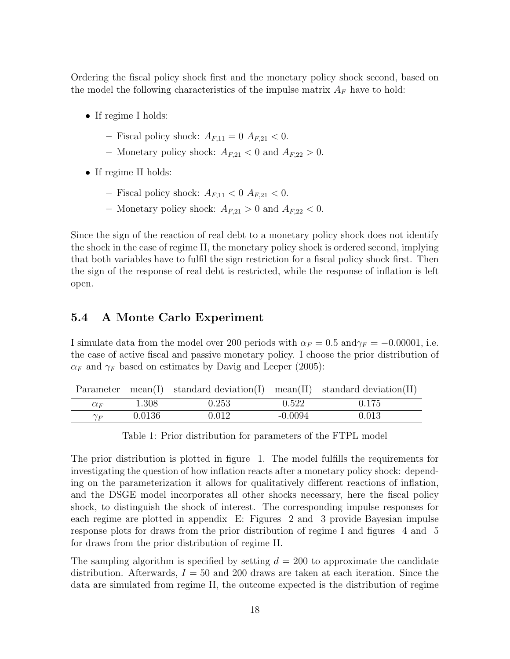Ordering the fiscal policy shock first and the monetary policy shock second, based on the model the following characteristics of the impulse matrix  $A_F$  have to hold:

- If regime I holds:
	- Fiscal policy shock:  $A_{F,11} = 0$   $A_{F,21} < 0$ .
	- Monetary policy shock:  $A_{F,21} < 0$  and  $A_{F,22} > 0$ .
- If regime II holds:

 $\overline{\phantom{0}}$ 

- Fiscal policy shock:  $A_{F,11} < 0 A_{F,21} < 0$ .
- Monetary policy shock:  $A_{F,21} > 0$  and  $A_{F,22} < 0$ .

Since the sign of the reaction of real debt to a monetary policy shock does not identify the shock in the case of regime II, the monetary policy shock is ordered second, implying that both variables have to fulfil the sign restriction for a fiscal policy shock first. Then the sign of the response of real debt is restricted, while the response of inflation is left open.

### 5.4 A Monte Carlo Experiment

I simulate data from the model over 200 periods with  $\alpha_F = 0.5$  and $\gamma_F = -0.00001$ , i.e. the case of active fiscal and passive monetary policy. I choose the prior distribution of  $\alpha_F$  and  $\gamma_F$  based on estimates by Davig and Leeper (2005):

|  |  | Parameter $mean(I)$ standard deviation(I) mean(II) standard deviation(II) |
|--|--|---------------------------------------------------------------------------|
|  |  |                                                                           |

| $\alpha_F$      | 1.308  | 0.253                    | 50c<br>J.J44  | $\overline{a}$<br>∪.⊥ I ∪ |  |
|-----------------|--------|--------------------------|---------------|---------------------------|--|
| $\gamma_E$<br>F | 0.0136 | 01 <sup>6</sup><br>U•∪⊥∠ | 0094<br>$-0.$ | 0.UIJ                     |  |

Table 1: Prior distribution for parameters of the FTPL model

The prior distribution is plotted in figure 1. The model fulfills the requirements for investigating the question of how inflation reacts after a monetary policy shock: depending on the parameterization it allows for qualitatively different reactions of inflation, and the DSGE model incorporates all other shocks necessary, here the fiscal policy shock, to distinguish the shock of interest. The corresponding impulse responses for each regime are plotted in appendix E: Figures 2 and 3 provide Bayesian impulse response plots for draws from the prior distribution of regime I and figures 4 and 5 for draws from the prior distribution of regime II.

The sampling algorithm is specified by setting  $d = 200$  to approximate the candidate distribution. Afterwards,  $I = 50$  and 200 draws are taken at each iteration. Since the data are simulated from regime II, the outcome expected is the distribution of regime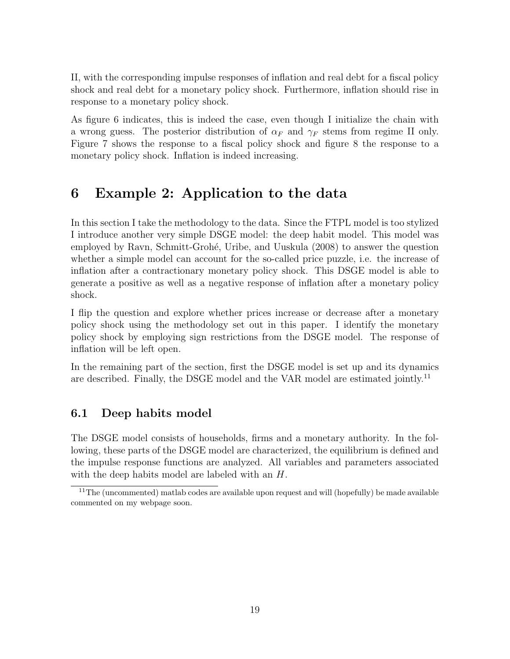II, with the corresponding impulse responses of inflation and real debt for a fiscal policy shock and real debt for a monetary policy shock. Furthermore, inflation should rise in response to a monetary policy shock.

As figure 6 indicates, this is indeed the case, even though I initialize the chain with a wrong guess. The posterior distribution of  $\alpha_F$  and  $\gamma_F$  stems from regime II only. Figure 7 shows the response to a fiscal policy shock and figure 8 the response to a monetary policy shock. Inflation is indeed increasing.

## 6 Example 2: Application to the data

In this section I take the methodology to the data. Since the FTPL model is too stylized I introduce another very simple DSGE model: the deep habit model. This model was employed by Ravn, Schmitt-Grohé, Uribe, and Uuskula (2008) to answer the question whether a simple model can account for the so-called price puzzle, i.e. the increase of inflation after a contractionary monetary policy shock. This DSGE model is able to generate a positive as well as a negative response of inflation after a monetary policy shock.

I flip the question and explore whether prices increase or decrease after a monetary policy shock using the methodology set out in this paper. I identify the monetary policy shock by employing sign restrictions from the DSGE model. The response of inflation will be left open.

In the remaining part of the section, first the DSGE model is set up and its dynamics are described. Finally, the DSGE model and the VAR model are estimated jointly.<sup>11</sup>

## 6.1 Deep habits model

The DSGE model consists of households, firms and a monetary authority. In the following, these parts of the DSGE model are characterized, the equilibrium is defined and the impulse response functions are analyzed. All variables and parameters associated with the deep habits model are labeled with an H.

 $11$ The (uncommented) matlab codes are available upon request and will (hopefully) be made available commented on my webpage soon.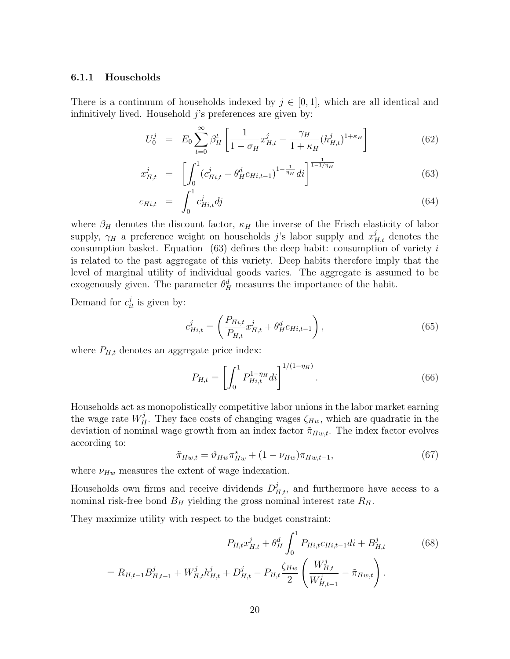#### 6.1.1 Households

There is a continuum of households indexed by  $j \in [0,1]$ , which are all identical and infinitively lived. Household  $j$ 's preferences are given by:

$$
U_0^j = E_0 \sum_{t=0}^{\infty} \beta_H^t \left[ \frac{1}{1 - \sigma_H} x_{H,t}^j - \frac{\gamma_H}{1 + \kappa_H} (h_{H,t}^j)^{1 + \kappa_H} \right]
$$
(62)

$$
x_{H,t}^j = \left[ \int_0^1 (c_{Hi,t}^j - \theta_H^d c_{Hi,t-1})^{1 - \frac{1}{\eta_H}} di \right]^{\frac{1}{1 - 1/\eta_H}}
$$
(63)

$$
c_{Hi,t} = \int_0^1 c_{Hi,t}^j dj \tag{64}
$$

where  $\beta_H$  denotes the discount factor,  $\kappa_H$  the inverse of the Frisch elasticity of labor supply,  $\gamma_H$  a preference weight on households j's labor supply and  $x_{H,t}^j$  denotes the consumption basket. Equation  $(63)$  defines the deep habit: consumption of variety i is related to the past aggregate of this variety. Deep habits therefore imply that the level of marginal utility of individual goods varies. The aggregate is assumed to be exogenously given. The parameter  $\theta_H^d$  measures the importance of the habit.

Demand for  $c_{it}^j$  is given by:

$$
c_{Hi,t}^{j} = \left(\frac{P_{Hi,t}}{P_{Hi,t}} x_{Hi,t}^{j} + \theta_{H}^{d} c_{Hi,t-1}\right),
$$
\n(65)

where  $P_{H,t}$  denotes an aggregate price index:

$$
P_{H,t} = \left[ \int_0^1 P_{Hi,t}^{1-\eta_H} di \right]^{1/(1-\eta_H)}.
$$
\n(66)

Households act as monopolistically competitive labor unions in the labor market earning the wage rate  $W_H^j$ . They face costs of changing wages  $\zeta_{H_w}$ , which are quadratic in the deviation of nominal wage growth from an index factor  $\tilde{\pi}_{Hw,t}$ . The index factor evolves according to:

$$
\tilde{\pi}_{Hw,t} = \vartheta_{Hw} \pi_{Hw}^{\star} + (1 - \nu_{Hw}) \pi_{Hw,t-1},\tag{67}
$$

where  $\nu_{Hw}$  measures the extent of wage indexation.

Households own firms and receive dividends  $D_{H,t}^j$ , and furthermore have access to a nominal risk-free bond  $B_H$  yielding the gross nominal interest rate  $R_H$ .

They maximize utility with respect to the budget constraint:

$$
P_{H,t}x_{H,t}^{j} + \theta_{H}^{d} \int_{0}^{1} P_{Hi,t}c_{Hi,t-1}di + B_{H,t}^{j}
$$
(68)  
=  $R_{H,t-1}B_{H,t-1}^{j} + W_{H,t}^{j}h_{H,t}^{j} + D_{H,t}^{j} - P_{H,t}\frac{\zeta_{Hw}}{2} \left(\frac{W_{H,t}^{j}}{W_{H,t-1}^{j}} - \tilde{\pi}_{Hw,t}\right).$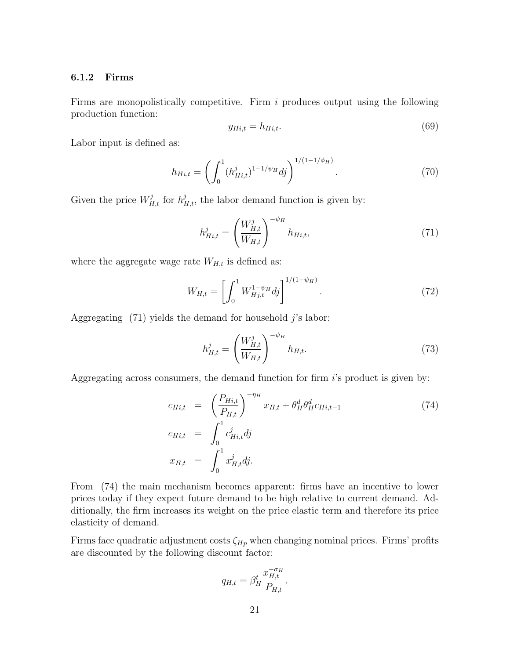#### 6.1.2 Firms

Firms are monopolistically competitive. Firm  $i$  produces output using the following production function:

$$
y_{Hi,t} = h_{Hi,t}.\tag{69}
$$

Labor input is defined as:

$$
h_{Hi,t} = \left(\int_0^1 (h_{Hi,t}^j)^{1-1/\psi_H} dj\right)^{1/(1-1/\phi_H)}.
$$
\n(70)

Given the price  $W_{H,t}^j$  for  $h_{H,t}^j$ , the labor demand function is given by:

$$
h_{Hi,t}^{j} = \left(\frac{W_{H,t}^{j}}{W_{H,t}}\right)^{-\psi_{H}} h_{Hi,t},
$$
\n(71)

where the aggregate wage rate  $W_{H,t}$  is defined as:

$$
W_{H,t} = \left[ \int_0^1 W_{Hj,t}^{1-\psi_H} dj \right]^{1/(1-\psi_H)}.
$$
 (72)

Aggregating  $(71)$  yields the demand for household j's labor:

$$
h_{H,t}^{j} = \left(\frac{W_{H,t}^{j}}{W_{H,t}}\right)^{-\psi_H} h_{H,t}.
$$
\n(73)

Aggregating across consumers, the demand function for firm  $i$ 's product is given by:

$$
c_{Hi,t} = \left(\frac{P_{Hi,t}}{P_{H,t}}\right)^{-\eta_H} x_{H,t} + \theta_H^d \theta_H^d c_{Hi,t-1}
$$
\n
$$
c_{Hi,t} = \int_0^1 c_{Hi,t}^j dj
$$
\n
$$
x_{H,t} = \int_0^1 x_{H,t}^j dj.
$$
\n(74)

From (74) the main mechanism becomes apparent: firms have an incentive to lower prices today if they expect future demand to be high relative to current demand. Additionally, the firm increases its weight on the price elastic term and therefore its price elasticity of demand.

Firms face quadratic adjustment costs  $\zeta_{Hp}$  when changing nominal prices. Firms' profits are discounted by the following discount factor:

$$
q_{H,t} = \beta_H^t \frac{x_{H,t}^{-\sigma_H}}{P_{H,t}}.
$$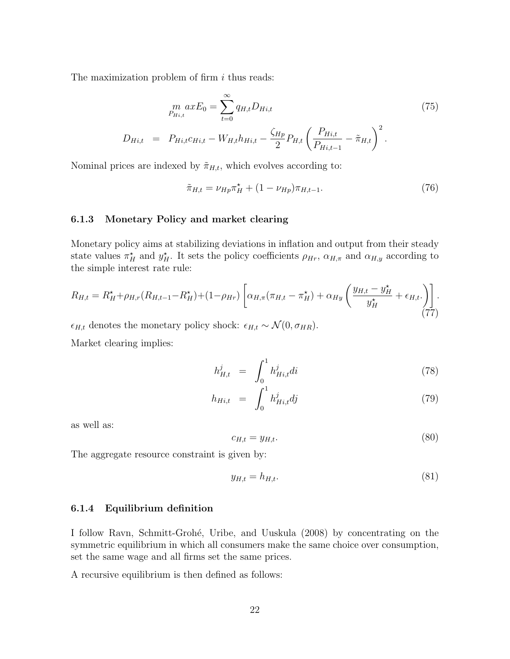The maximization problem of firm  $i$  thus reads:

$$
p_{Hi,t}^{m} = \sum_{t=0}^{\infty} q_{H,t} D_{Hi,t}
$$
\n
$$
D_{Hi,t} = P_{Hi,t} c_{Hi,t} - W_{H,t} h_{Hi,t} - \frac{\zeta_{Hp}}{2} P_{H,t} \left( \frac{P_{Hi,t}}{P_{Hi,t-1}} - \tilde{\pi}_{H,t} \right)^{2}.
$$
\n
$$
(75)
$$

Nominal prices are indexed by  $\tilde{\pi}_{H,t}$ , which evolves according to:

$$
\tilde{\pi}_{H,t} = \nu_{Hp} \pi_H^{\star} + (1 - \nu_{Hp}) \pi_{H,t-1}.
$$
\n(76)

#### 6.1.3 Monetary Policy and market clearing

Monetary policy aims at stabilizing deviations in inflation and output from their steady state values  $\pi_H^*$  and  $y_H^*$ . It sets the policy coefficients  $\rho_{H_r}$ ,  $\alpha_{H,\pi}$  and  $\alpha_{H,y}$  according to the simple interest rate rule:

$$
R_{H,t} = R_H^{\star} + \rho_{H,r}(R_{H,t-1} - R_H^{\star}) + (1 - \rho_{Hr}) \left[ \alpha_{H,\pi}(\pi_{H,t} - \pi_H^{\star}) + \alpha_{Hy} \left( \frac{y_{H,t} - y_H^{\star}}{y_H^{\star}} + \epsilon_{H,t} \right) \right].
$$
\n(77)

 $\epsilon_{H,t}$  denotes the monetary policy shock:  $\epsilon_{H,t} \sim \mathcal{N}(0, \sigma_{HR})$ . Market clearing implies:

$$
h_{H,t}^{j} = \int_{0}^{1} h_{Hi,t}^{j} di
$$
 (78)

$$
h_{Hi, t} = \int_0^1 h_{Hi, t}^j dj \tag{79}
$$

as well as:

$$
c_{H,t} = y_{H,t}.\tag{80}
$$

The aggregate resource constraint is given by:

$$
y_{H,t} = h_{H,t}.\tag{81}
$$

#### 6.1.4 Equilibrium definition

I follow Ravn, Schmitt-Groh´e, Uribe, and Uuskula (2008) by concentrating on the symmetric equilibrium in which all consumers make the same choice over consumption, set the same wage and all firms set the same prices.

A recursive equilibrium is then defined as follows: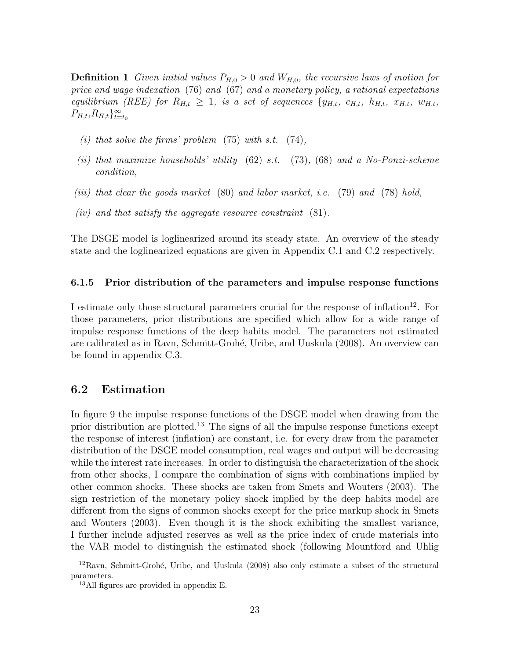**Definition 1** Given initial values  $P_{H,0} > 0$  and  $W_{H,0}$ , the recursive laws of motion for price and wage indexation (76) and (67) and a monetary policy, a rational expectations equilibrium (REE) for  $R_{H,t} \geq 1$ , is a set of sequences  $\{y_{H,t}, c_{H,t}, h_{H,t}, x_{H,t}, w_{H,t}\}$  $P_{H,t}, R_{H,t}\}_{t=t_0}^{\infty}$ 

- (i) that solve the firms' problem  $(75)$  with s.t.  $(74)$ ,
- (ii) that maximize households' utility  $(62)$  s.t.  $(73)$ ,  $(68)$  and a No-Ponzi-scheme condition,
- (iii) that clear the goods market  $(80)$  and labor market, i.e.  $(79)$  and  $(78)$  hold,
- (iv) and that satisfy the aggregate resource constraint  $(81)$ .

The DSGE model is loglinearized around its steady state. An overview of the steady state and the loglinearized equations are given in Appendix C.1 and C.2 respectively.

#### 6.1.5 Prior distribution of the parameters and impulse response functions

I estimate only those structural parameters crucial for the response of inflation $12$ . For those parameters, prior distributions are specified which allow for a wide range of impulse response functions of the deep habits model. The parameters not estimated are calibrated as in Ravn, Schmitt-Grohé, Uribe, and Uuskula (2008). An overview can be found in appendix C.3.

### 6.2 Estimation

In figure 9 the impulse response functions of the DSGE model when drawing from the prior distribution are plotted.<sup>13</sup> The signs of all the impulse response functions except the response of interest (inflation) are constant, i.e. for every draw from the parameter distribution of the DSGE model consumption, real wages and output will be decreasing while the interest rate increases. In order to distinguish the characterization of the shock from other shocks, I compare the combination of signs with combinations implied by other common shocks. These shocks are taken from Smets and Wouters (2003). The sign restriction of the monetary policy shock implied by the deep habits model are different from the signs of common shocks except for the price markup shock in Smets and Wouters (2003). Even though it is the shock exhibiting the smallest variance, I further include adjusted reserves as well as the price index of crude materials into the VAR model to distinguish the estimated shock (following Mountford and Uhlig

 $12$ Ravn, Schmitt-Grohé, Uribe, and Uuskula (2008) also only estimate a subset of the structural parameters.

<sup>13</sup>All figures are provided in appendix E.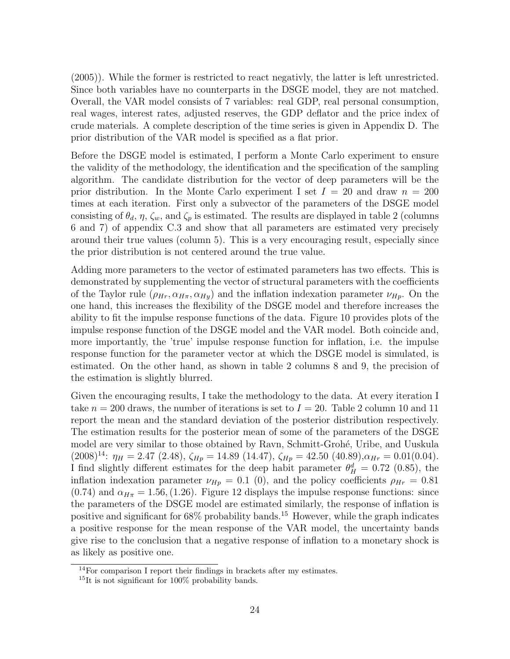(2005)). While the former is restricted to react negativly, the latter is left unrestricted. Since both variables have no counterparts in the DSGE model, they are not matched. Overall, the VAR model consists of 7 variables: real GDP, real personal consumption, real wages, interest rates, adjusted reserves, the GDP deflator and the price index of crude materials. A complete description of the time series is given in Appendix D. The prior distribution of the VAR model is specified as a flat prior.

Before the DSGE model is estimated, I perform a Monte Carlo experiment to ensure the validity of the methodology, the identification and the specification of the sampling algorithm. The candidate distribution for the vector of deep parameters will be the prior distribution. In the Monte Carlo experiment I set  $I = 20$  and draw  $n = 200$ times at each iteration. First only a subvector of the parameters of the DSGE model consisting of  $\theta_d$ ,  $\eta$ ,  $\zeta_w$ , and  $\zeta_p$  is estimated. The results are displayed in table 2 (columns 6 and 7) of appendix C.3 and show that all parameters are estimated very precisely around their true values (column 5). This is a very encouraging result, especially since the prior distribution is not centered around the true value.

Adding more parameters to the vector of estimated parameters has two effects. This is demonstrated by supplementing the vector of structural parameters with the coefficients of the Taylor rule  $(\rho_{Hr}, \alpha_{H\pi}, \alpha_{Hy})$  and the inflation indexation parameter  $\nu_{Hp}$ . On the one hand, this increases the flexibility of the DSGE model and therefore increases the ability to fit the impulse response functions of the data. Figure 10 provides plots of the impulse response function of the DSGE model and the VAR model. Both coincide and, more importantly, the 'true' impulse response function for inflation, i.e. the impulse response function for the parameter vector at which the DSGE model is simulated, is estimated. On the other hand, as shown in table 2 columns 8 and 9, the precision of the estimation is slightly blurred.

Given the encouraging results, I take the methodology to the data. At every iteration I take  $n = 200$  draws, the number of iterations is set to  $I = 20$ . Table 2 column 10 and 11 report the mean and the standard deviation of the posterior distribution respectively. The estimation results for the posterior mean of some of the parameters of the DSGE model are very similar to those obtained by Ravn, Schmitt-Grohé, Uribe, and Uuskula (2008)<sup>14</sup>:  $\eta_H = 2.47$  (2.48),  $\zeta_{Hp} = 14.89$  (14.47),  $\zeta_{Hp} = 42.50$  (40.89), $\alpha_{Hr} = 0.01(0.04)$ . I find slightly different estimates for the deep habit parameter  $\theta_H^d = 0.72$  (0.85), the inflation indexation parameter  $\nu_{Hp} = 0.1$  (0), and the policy coefficients  $\rho_{Hr} = 0.81$  $(0.74)$  and  $\alpha_{H\pi} = 1.56$ , (1.26). Figure 12 displays the impulse response functions: since the parameters of the DSGE model are estimated similarly, the response of inflation is positive and significant for  $68\%$  probability bands.<sup>15</sup> However, while the graph indicates a positive response for the mean response of the VAR model, the uncertainty bands give rise to the conclusion that a negative response of inflation to a monetary shock is as likely as positive one.

<sup>14</sup>For comparison I report their findings in brackets after my estimates.

<sup>15</sup>It is not significant for 100% probability bands.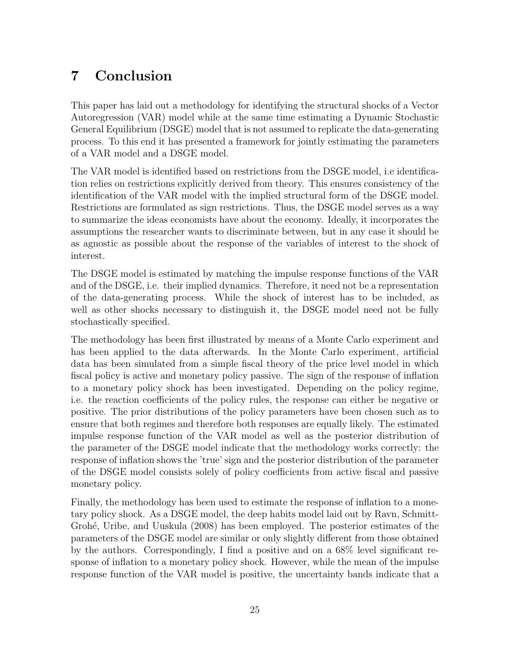## 7 Conclusion

This paper has laid out a methodology for identifying the structural shocks of a Vector Autoregression (VAR) model while at the same time estimating a Dynamic Stochastic General Equilibrium (DSGE) model that is not assumed to replicate the data-generating process. To this end it has presented a framework for jointly estimating the parameters of a VAR model and a DSGE model.

The VAR model is identified based on restrictions from the DSGE model, i.e identification relies on restrictions explicitly derived from theory. This ensures consistency of the identification of the VAR model with the implied structural form of the DSGE model. Restrictions are formulated as sign restrictions. Thus, the DSGE model serves as a way to summarize the ideas economists have about the economy. Ideally, it incorporates the assumptions the researcher wants to discriminate between, but in any case it should be as agnostic as possible about the response of the variables of interest to the shock of interest.

The DSGE model is estimated by matching the impulse response functions of the VAR and of the DSGE, i.e. their implied dynamics. Therefore, it need not be a representation of the data-generating process. While the shock of interest has to be included, as well as other shocks necessary to distinguish it, the DSGE model need not be fully stochastically specified.

The methodology has been first illustrated by means of a Monte Carlo experiment and has been applied to the data afterwards. In the Monte Carlo experiment, artificial data has been simulated from a simple fiscal theory of the price level model in which fiscal policy is active and monetary policy passive. The sign of the response of inflation to a monetary policy shock has been investigated. Depending on the policy regime, i.e. the reaction coefficients of the policy rules, the response can either be negative or positive. The prior distributions of the policy parameters have been chosen such as to ensure that both regimes and therefore both responses are equally likely. The estimated impulse response function of the VAR model as well as the posterior distribution of the parameter of the DSGE model indicate that the methodology works correctly: the response of inflation shows the 'true' sign and the posterior distribution of the parameter of the DSGE model consists solely of policy coefficients from active fiscal and passive monetary policy.

Finally, the methodology has been used to estimate the response of inflation to a monetary policy shock. As a DSGE model, the deep habits model laid out by Ravn, Schmitt-Grohé, Uribe, and Uuskula (2008) has been employed. The posterior estimates of the parameters of the DSGE model are similar or only slightly different from those obtained by the authors. Correspondingly, I find a positive and on a 68% level significant response of inflation to a monetary policy shock. However, while the mean of the impulse response function of the VAR model is positive, the uncertainty bands indicate that a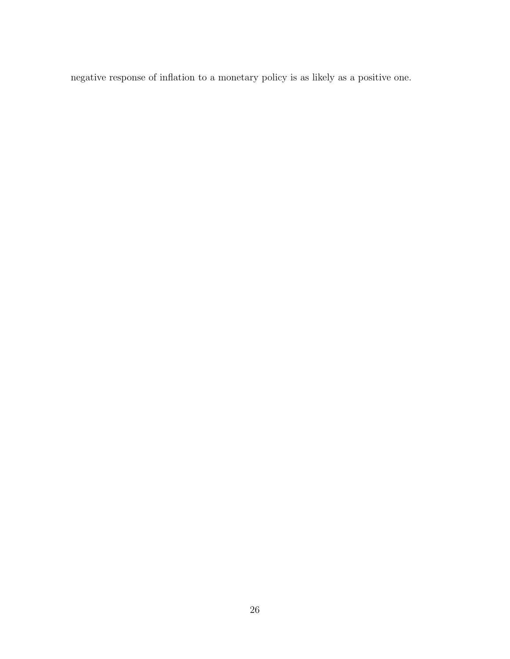negative response of inflation to a monetary policy is as likely as a positive one.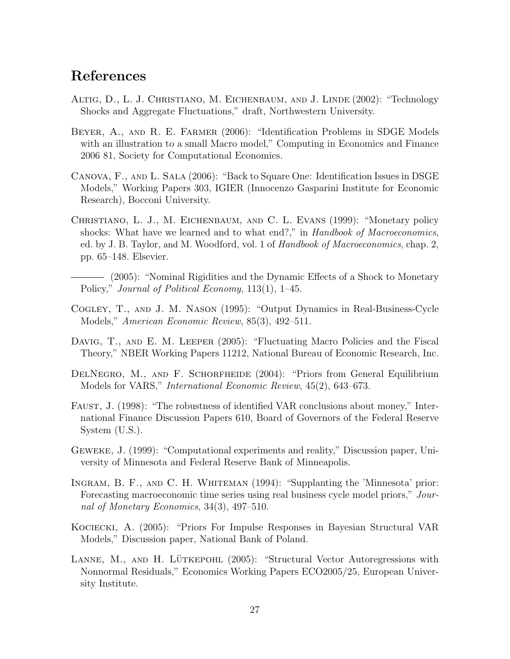## References

- Altig, D., L. J. Christiano, M. Eichenbaum, and J. Linde (2002): "Technology Shocks and Aggregate Fluctuations," draft, Northwestern University.
- Beyer, A., and R. E. Farmer (2006): "Identification Problems in SDGE Models with an illustration to a small Macro model," Computing in Economics and Finance 2006 81, Society for Computational Economics.
- Canova, F., and L. Sala (2006): "Back to Square One: Identification Issues in DSGE Models," Working Papers 303, IGIER (Innocenzo Gasparini Institute for Economic Research), Bocconi University.
- Christiano, L. J., M. Eichenbaum, and C. L. Evans (1999): "Monetary policy shocks: What have we learned and to what end?," in Handbook of Macroeconomics, ed. by J. B. Taylor, and M. Woodford, vol. 1 of Handbook of Macroeconomics, chap. 2, pp. 65–148. Elsevier.
- (2005): "Nominal Rigidities and the Dynamic Effects of a Shock to Monetary Policy," Journal of Political Economy, 113(1), 1–45.
- Cogley, T., and J. M. Nason (1995): "Output Dynamics in Real-Business-Cycle Models," American Economic Review, 85(3), 492–511.
- DAVIG, T., AND E. M. LEEPER (2005): "Fluctuating Macro Policies and the Fiscal Theory," NBER Working Papers 11212, National Bureau of Economic Research, Inc.
- DELNEGRO, M., AND F. SCHORFHEIDE (2004): "Priors from General Equilibrium Models for VARS," International Economic Review, 45(2), 643–673.
- FAUST, J. (1998): "The robustness of identified VAR conclusions about money," International Finance Discussion Papers 610, Board of Governors of the Federal Reserve System (U.S.).
- Geweke, J. (1999): "Computational experiments and reality," Discussion paper, University of Minnesota and Federal Reserve Bank of Minneapolis.
- Ingram, B. F., and C. H. Whiteman (1994): "Supplanting the 'Minnesota' prior: Forecasting macroeconomic time series using real business cycle model priors," Journal of Monetary Economics, 34(3), 497–510.
- Kociecki, A. (2005): "Priors For Impulse Responses in Bayesian Structural VAR Models," Discussion paper, National Bank of Poland.
- LANNE, M., AND H. LÜTKEPOHL  $(2005)$ : "Structural Vector Autoregressions with Nonnormal Residuals," Economics Working Papers ECO2005/25, European University Institute.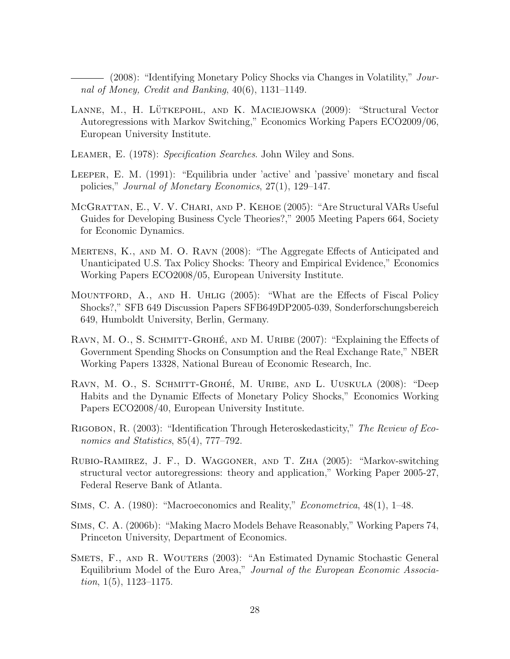- (2008): "Identifying Monetary Policy Shocks via Changes in Volatility," Journal of Money, Credit and Banking, 40(6), 1131–1149.

- LANNE, M., H. LÜTKEPOHL, AND K. MACIEJOWSKA (2009): "Structural Vector Autoregressions with Markov Switching," Economics Working Papers ECO2009/06, European University Institute.
- LEAMER, E. (1978): Specification Searches. John Wiley and Sons.
- Leeper, E. M. (1991): "Equilibria under 'active' and 'passive' monetary and fiscal policies," Journal of Monetary Economics, 27(1), 129–147.
- McGrattan, E., V. V. Chari, and P. Kehoe (2005): "Are Structural VARs Useful Guides for Developing Business Cycle Theories?," 2005 Meeting Papers 664, Society for Economic Dynamics.
- Mertens, K., and M. O. Ravn (2008): "The Aggregate Effects of Anticipated and Unanticipated U.S. Tax Policy Shocks: Theory and Empirical Evidence," Economics Working Papers ECO2008/05, European University Institute.
- MOUNTFORD, A., AND H. UHLIG (2005): "What are the Effects of Fiscal Policy Shocks?," SFB 649 Discussion Papers SFB649DP2005-039, Sonderforschungsbereich 649, Humboldt University, Berlin, Germany.
- RAVN, M. O., S. SCHMITT-GROHÉ, AND M. URIBE (2007): "Explaining the Effects of Government Spending Shocks on Consumption and the Real Exchange Rate," NBER Working Papers 13328, National Bureau of Economic Research, Inc.
- RAVN, M. O., S. SCHMITT-GROHÉ, M. URIBE, AND L. UUSKULA (2008): "Deep Habits and the Dynamic Effects of Monetary Policy Shocks," Economics Working Papers ECO2008/40, European University Institute.
- RIGOBON, R. (2003): "Identification Through Heteroskedasticity," The Review of Economics and Statistics, 85(4), 777–792.
- Rubio-Ramirez, J. F., D. Waggoner, and T. Zha (2005): "Markov-switching structural vector autoregressions: theory and application," Working Paper 2005-27, Federal Reserve Bank of Atlanta.
- Sims, C. A. (1980): "Macroeconomics and Reality," Econometrica, 48(1), 1–48.
- Sims, C. A. (2006b): "Making Macro Models Behave Reasonably," Working Papers 74, Princeton University, Department of Economics.
- SMETS, F., AND R. WOUTERS (2003): "An Estimated Dynamic Stochastic General Equilibrium Model of the Euro Area," Journal of the European Economic Associa*tion*,  $1(5)$ ,  $1123-1175$ .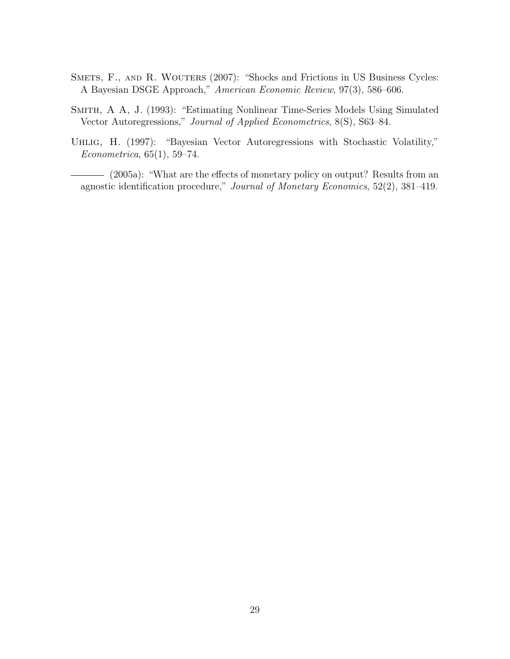- SMETS, F., AND R. WOUTERS (2007): "Shocks and Frictions in US Business Cycles: A Bayesian DSGE Approach," American Economic Review, 97(3), 586–606.
- Smith, A A, J. (1993): "Estimating Nonlinear Time-Series Models Using Simulated Vector Autoregressions," Journal of Applied Econometrics, 8(S), S63–84.
- UHLIG, H. (1997): "Bayesian Vector Autoregressions with Stochastic Volatility," Econometrica, 65(1), 59–74.
- (2005a): "What are the effects of monetary policy on output? Results from an agnostic identification procedure," Journal of Monetary Economics, 52(2), 381–419.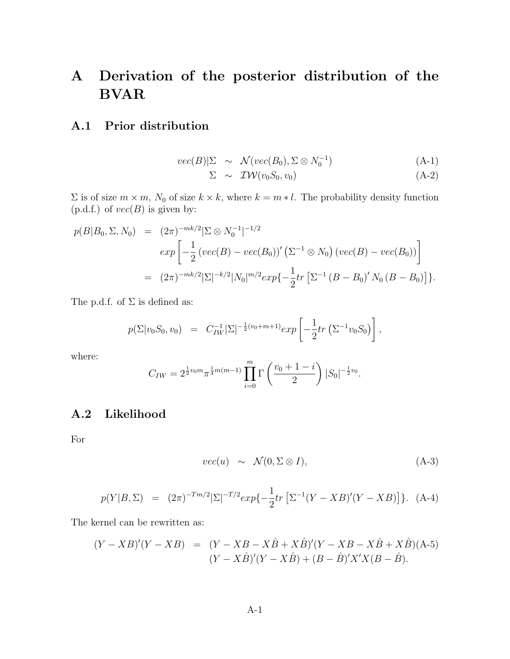## A Derivation of the posterior distribution of the BVAR

### A.1 Prior distribution

$$
vec(B)|\Sigma \sim \mathcal{N}(vec(B_0), \Sigma \otimes N_0^{-1})
$$
 (A-1)

$$
\Sigma \sim \mathcal{IW}(v_0 S_0, v_0) \tag{A-2}
$$

 $\Sigma$  is of size  $m \times m$ ,  $N_0$  of size  $k \times k$ , where  $k = m * l$ . The probability density function  $(p.d.f.)$  of  $vec(B)$  is given by:

$$
p(B|B_0, \Sigma, N_0) = (2\pi)^{-mk/2} |\Sigma \otimes N_0^{-1}|^{-1/2}
$$
  
\n
$$
exp \left[ -\frac{1}{2} (vec(B) - vec(B_0))' (\Sigma^{-1} \otimes N_0) (vec(B) - vec(B_0)) \right]
$$
  
\n
$$
= (2\pi)^{-mk/2} |\Sigma|^{-k/2} |N_0|^{m/2} exp\{-\frac{1}{2}tr [\Sigma^{-1} (B - B_0)' N_0 (B - B_0)] \}.
$$

The p.d.f. of  $\Sigma$  is defined as:

$$
p(\Sigma |v_0 S_0, v_0) = C_{IW}^{-1} |\Sigma|^{-\frac{1}{2}(v_0 + m + 1)} exp\left[-\frac{1}{2} tr \left( \Sigma^{-1} v_0 S_0 \right) \right],
$$

where:

$$
C_{IW} = 2^{\frac{1}{2}v_0 m} \pi^{\frac{1}{4}m(m-1)} \prod_{i=0}^{m} \Gamma\left(\frac{v_0 + 1 - i}{2}\right) |S_0|^{-\frac{1}{2}v_0}.
$$

## A.2 Likelihood

For

$$
vec(u) \sim \mathcal{N}(0, \Sigma \otimes I), \tag{A-3}
$$

$$
p(Y|B,\Sigma) = (2\pi)^{-Tm/2} |\Sigma|^{-T/2} exp\{-\frac{1}{2}tr\left[\Sigma^{-1}(Y-XB)'(Y-XB)\right]\}.
$$
 (A-4)

The kernel can be rewritten as:

$$
(Y - XB)'(Y - XB) = (Y - XB - X\hat{B} + X\hat{B})'(Y - XB - X\hat{B} + X\hat{B})(A-5)
$$
  

$$
(Y - X\hat{B})'(Y - X\hat{B}) + (B - \hat{B})'X'X(B - \hat{B}).
$$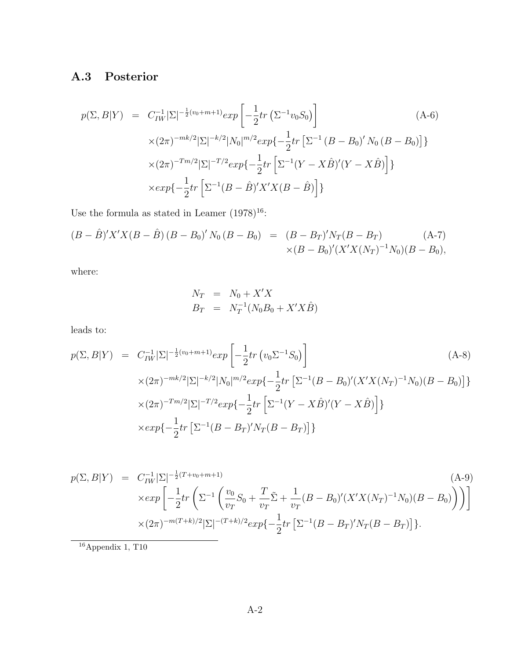## A.3 Posterior

$$
p(\Sigma, B|Y) = C_{IW}^{-1} |\Sigma|^{-\frac{1}{2}(v_0 + m + 1)} exp\left[ -\frac{1}{2} tr \left( \Sigma^{-1} v_0 S_0 \right) \right]
$$
  
\n
$$
\times (2\pi)^{-mk/2} |\Sigma|^{-k/2} |N_0|^{m/2} exp\{-\frac{1}{2} tr \left[ \Sigma^{-1} (B - B_0)' N_0 (B - B_0) \right] \}
$$
  
\n
$$
\times (2\pi)^{-T m/2} |\Sigma|^{-T/2} exp\{-\frac{1}{2} tr \left[ \Sigma^{-1} (Y - X\hat{B})'(Y - X\hat{B}) \right] \}
$$
  
\n
$$
\times exp\{-\frac{1}{2} tr \left[ \Sigma^{-1} (B - \hat{B})' X' X (B - \hat{B}) \right] \}
$$
 (A-6)

Use the formula as stated in Leamer (1978) $^{16}\!$  :

$$
(B - \hat{B})'X'X(B - \hat{B})(B - B_0)'N_0(B - B_0) = (B - B_T)'N_T(B - B_T)
$$
\n
$$
\times (B - B_0)'(X'X(N_T)^{-1}N_0)(B - B_0),
$$
\n(A-7)

where:

$$
N_T = N_0 + X'X
$$
  
\n
$$
B_T = N_T^{-1}(N_0B_0 + X'X\hat{B})
$$

leads to:

$$
p(\Sigma, B|Y) = C_{IW}^{-1} |\Sigma|^{-\frac{1}{2}(v_0 + m + 1)} exp\left[ -\frac{1}{2} tr \left( v_0 \Sigma^{-1} S_0 \right) \right]
$$
  
\n
$$
\times (2\pi)^{-mk/2} |\Sigma|^{-k/2} |N_0|^{m/2} exp\{-\frac{1}{2} tr \left[ \Sigma^{-1} (B - B_0)' (X'X(N_T)^{-1} N_0) (B - B_0) \right] \}
$$
  
\n
$$
\times (2\pi)^{-T m/2} |\Sigma|^{-T/2} exp\{-\frac{1}{2} tr \left[ \Sigma^{-1} (Y - X\hat{B})'(Y - X\hat{B}) \right] \}
$$
  
\n
$$
\times exp\{-\frac{1}{2} tr \left[ \Sigma^{-1} (B - B_T)' N_T (B - B_T) \right] \}
$$
 (A-8)

$$
p(\Sigma, B|Y) = C_{IW}^{-1} |\Sigma|^{-\frac{1}{2}(T+v_0+m+1)}
$$
\n
$$
\times \exp\left[-\frac{1}{2}tr\left(\Sigma^{-1}\left(\frac{v_0}{v_T}S_0 + \frac{T}{v_T}\tilde{\Sigma} + \frac{1}{v_T}(B - B_0)'(X'X(N_T)^{-1}N_0)(B - B_0)\right)\right)\right]
$$
\n
$$
\times (2\pi)^{-m(T+k)/2} |\Sigma|^{-(T+k)/2} \exp\left\{-\frac{1}{2}tr\left[\Sigma^{-1}(B - B_T)'N_T(B - B_T)\right]\right\}.
$$
\n(A-9)

 $^{-16}\mathrm{Appendix}$ 1, T<br/>10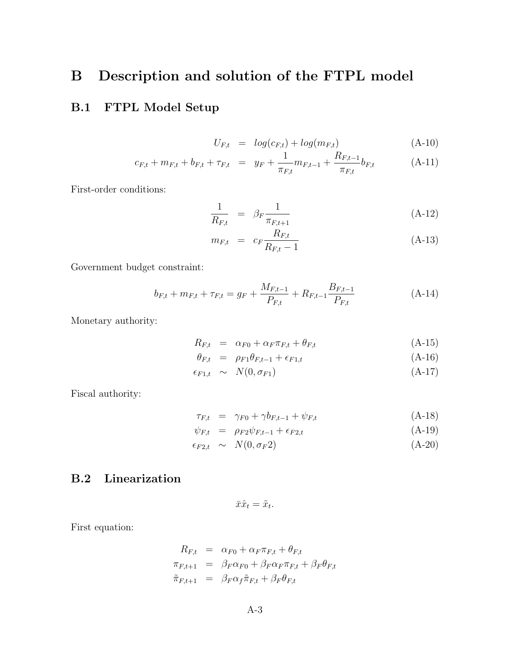## B Description and solution of the FTPL model

## B.1 FTPL Model Setup

$$
U_{F,t} = log(c_{F,t}) + log(m_{F,t})
$$
\n(A-10)

$$
c_{F,t} + m_{F,t} + b_{F,t} + \tau_{F,t} = y_F + \frac{1}{\pi_{F,t}} m_{F,t-1} + \frac{R_{F,t-1}}{\pi_{F,t}} b_{F,t}
$$
 (A-11)

First-order conditions:

$$
\frac{1}{R_{F,t}} = \beta_F \frac{1}{\pi_{F,t+1}} \tag{A-12}
$$

$$
m_{F,t} = c_F \frac{R_{F,t}}{R_{F,t} - 1}
$$
 (A-13)

Government budget constraint:

$$
b_{F,t} + m_{F,t} + \tau_{F,t} = g_F + \frac{M_{F,t-1}}{P_{F,t}} + R_{F,t-1} \frac{B_{F,t-1}}{P_{F,t}} \tag{A-14}
$$

Monetary authority:

$$
R_{F,t} = \alpha_{F0} + \alpha_F \pi_{F,t} + \theta_{F,t} \tag{A-15}
$$

$$
\theta_{F,t} = \rho_{F1}\theta_{F,t-1} + \epsilon_{F1,t} \tag{A-16}
$$

$$
\epsilon_{F1,t} \sim N(0, \sigma_{F1}) \tag{A-17}
$$

Fiscal authority:

$$
\tau_{F,t} = \gamma_{F0} + \gamma b_{F,t-1} + \psi_{F,t} \tag{A-18}
$$

$$
\psi_{F,t} = \rho_{F2}\psi_{F,t-1} + \epsilon_{F2,t} \tag{A-19}
$$

$$
\epsilon_{F2,t} \sim N(0, \sigma_F 2) \tag{A-20}
$$

## B.2 Linearization

$$
\bar{x}\hat{x}_t = \tilde{x}_t.
$$

First equation:

$$
R_{F,t} = \alpha_{F0} + \alpha_F \pi_{F,t} + \theta_{F,t}
$$
  
\n
$$
\pi_{F,t+1} = \beta_F \alpha_{F0} + \beta_F \alpha_F \pi_{F,t} + \beta_F \theta_{F,t}
$$
  
\n
$$
\tilde{\pi}_{F,t+1} = \beta_F \alpha_f \tilde{\pi}_{F,t} + \beta_F \theta_{F,t}
$$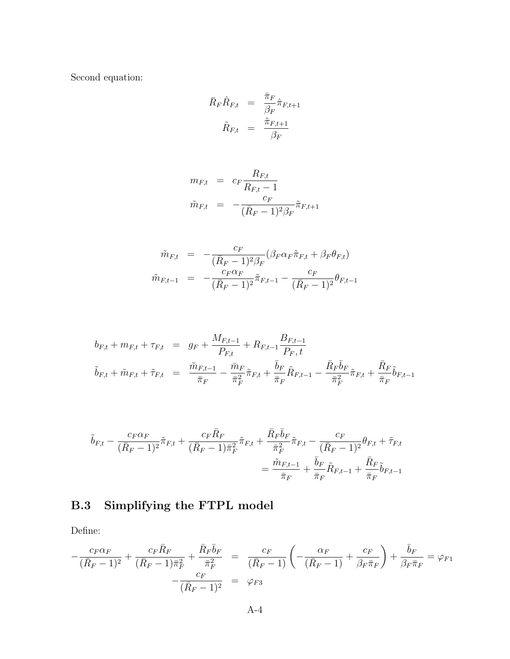Second equation:

$$
\begin{array}{rcl} \bar{R}_F \hat{R}_{F,t} &=& \frac{\bar{\pi}_F}{\beta_F} \hat{\pi}_{F,t+1} \\ \tilde{R}_{F,t} &=& \frac{\tilde{\pi}_{F,t+1}}{\beta_F} \end{array}
$$

$$
m_{F,t} = c_F \frac{R_{F,t}}{R_{F,t} - 1}
$$

$$
\tilde{m}_{F,t} = -\frac{c_F}{(\bar{R}_F - 1)^2 \beta_F} \tilde{\pi}_{F,t+1}
$$

$$
\tilde{m}_{F,t} = -\frac{c_F}{(\bar{R}_F - 1)^2 \beta_F} (\beta_F \alpha_F \tilde{\pi}_{F,t} + \beta_F \theta_{F,t})
$$
\n
$$
\tilde{m}_{F,t-1} = -\frac{c_F \alpha_F}{(\bar{R}_F - 1)^2} \tilde{\pi}_{F,t-1} - \frac{c_F}{(\bar{R}_F - 1)^2} \theta_{F,t-1}
$$

$$
b_{F,t} + m_{F,t} + \tau_{F,t} = g_F + \frac{M_{F,t-1}}{P_{F,t}} + R_{F,t-1} \frac{B_{F,t-1}}{P_F, t}
$$
  

$$
\tilde{b}_{F,t} + \tilde{m}_{F,t} + \tilde{\tau}_{F,t} = \frac{\tilde{m}_{F,t-1}}{\bar{\pi}_F} - \frac{\bar{m}_F}{\bar{\pi}_F} \tilde{\pi}_{F,t} + \frac{\bar{b}_F}{\bar{\pi}_F} \tilde{R}_{F,t-1} - \frac{\bar{R}_F \bar{b}_F}{\bar{\pi}_F} \tilde{\pi}_{F,t} + \frac{\bar{R}_F}{\bar{\pi}_F} \tilde{b}_{F,t-1}
$$

$$
\tilde{b}_{F,t} - \frac{c_F \alpha_F}{(\bar{R}_F - 1)^2} \tilde{\pi}_{F,t} + \frac{c_F \bar{R}_F}{(\bar{R}_F - 1)\bar{\pi}_F^2} \tilde{\pi}_{F,t} + \frac{\bar{R}_F \bar{b}_F}{\bar{\pi}_F^2} \tilde{\pi}_{F,t} - \frac{c_F}{(\bar{R}_F - 1)^2} \theta_{F,t} + \tilde{\tau}_{F,t} \n= \frac{\tilde{m}_{F,t-1}}{\bar{\pi}_F} + \frac{\bar{b}_F}{\bar{\pi}_F} \tilde{R}_{F,t-1} + \frac{\bar{R}_F}{\bar{\pi}_F} \tilde{b}_{F,t-1}
$$

## B.3 Simplifying the FTPL model

Define:

$$
-\frac{c_F \alpha_F}{(\bar{R}_F - 1)^2} + \frac{c_F \bar{R}_F}{(\bar{R}_F - 1)\bar{\pi}_F^2} + \frac{\bar{R}_F \bar{b}_F}{\bar{\pi}_F^2} = \frac{c_F}{(\bar{R}_F - 1)} \left( -\frac{\alpha_F}{(\bar{R}_F - 1)} + \frac{c_F}{\beta_F \bar{\pi}_F} \right) + \frac{\bar{b}_F}{\beta_F \bar{\pi}_F} = \varphi_{F1} - \frac{c_F}{(\bar{R}_F - 1)^2} = \varphi_{F3}
$$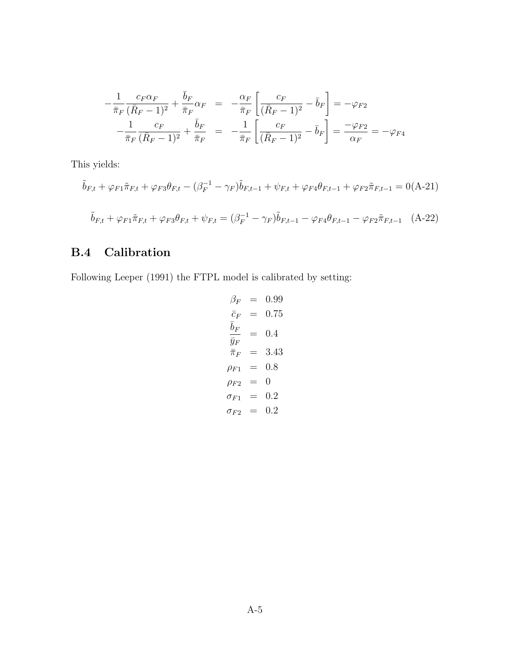$$
-\frac{1}{\bar{\pi}_F} \frac{c_F \alpha_F}{(\bar{R}_F - 1)^2} + \frac{\bar{b}_F}{\bar{\pi}_F} \alpha_F = -\frac{\alpha_F}{\bar{\pi}_F} \left[ \frac{c_F}{(\bar{R}_F - 1)^2} - \bar{b}_F \right] = -\varphi_{F2}
$$

$$
-\frac{1}{\bar{\pi}_F} \frac{c_F}{(\bar{R}_F - 1)^2} + \frac{\bar{b}_F}{\bar{\pi}_F} = -\frac{1}{\bar{\pi}_F} \left[ \frac{c_F}{(\bar{R}_F - 1)^2} - \bar{b}_F \right] = \frac{-\varphi_{F2}}{\alpha_F} = -\varphi_{F4}
$$

This yields:

$$
\tilde{b}_{F,t} + \varphi_{F1}\tilde{\pi}_{F,t} + \varphi_{F3}\theta_{F,t} - (\beta_F^{-1} - \gamma_F)\tilde{b}_{F,t-1} + \psi_{F,t} + \varphi_{F4}\theta_{F,t-1} + \varphi_{F2}\tilde{\pi}_{F,t-1} = 0(\text{A-21})
$$
\n
$$
\tilde{b}_{F,t} + \varphi_{F1}\tilde{\pi}_{F,t} + \varphi_{F3}\theta_{F,t} + \psi_{F,t} = (\beta_F^{-1} - \gamma_F)\tilde{b}_{F,t-1} - \varphi_{F4}\theta_{F,t-1} - \varphi_{F2}\tilde{\pi}_{F,t-1} \quad \text{(A-22)}
$$

## B.4 Calibration

Following Leeper (1991) the FTPL model is calibrated by setting:

$$
\beta_F = 0.99
$$
  
\n
$$
\bar{c}_F = 0.75
$$
  
\n
$$
\frac{\bar{b}_F}{\bar{y}_F} = 0.4
$$
  
\n
$$
\bar{\pi}_F = 3.43
$$
  
\n
$$
\rho_{F1} = 0.8
$$
  
\n
$$
\rho_{F2} = 0
$$
  
\n
$$
\sigma_{F1} = 0.2
$$
  
\n
$$
\sigma_{F2} = 0.2
$$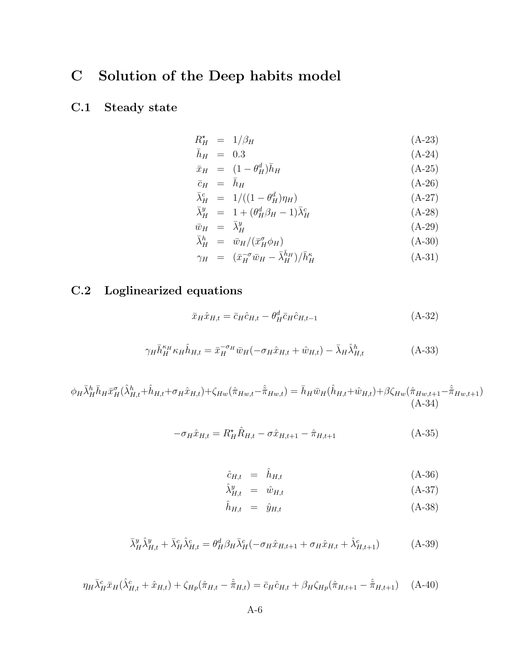## C Solution of the Deep habits model

## C.1 Steady state

$$
R_H^* = 1/\beta_H \tag{A-23}
$$

$$
\bar{h}_H = 0.3 \tag{A-24}
$$

$$
\bar{x}_H = (1 - \theta_H^d)\bar{h}_H \tag{A-25}
$$

$$
\bar{c}_H = \bar{h}_H \tag{A-26}
$$

$$
\bar{\lambda}_H^c = 1/((1 - \theta_H^d)\eta_H) \tag{A-27}
$$

$$
\bar{\lambda}^y_H = 1 + (\theta^d_H \beta_H - 1) \bar{\lambda}^c_H \tag{A-28}
$$

$$
\bar{w}_H = \bar{\lambda}_H^y \tag{A-29}
$$

$$
\bar{\lambda}^h_H = \bar{w}_H / (\bar{x}^\sigma_H \phi_H) \tag{A-30}
$$

$$
\gamma_H = (\bar{x}_H^{-\sigma} \bar{w}_H - \bar{\lambda}_H^{\bar{h}_H})/\bar{h}_H^{\kappa} \tag{A-31}
$$

## C.2 Loglinearized equations

$$
\bar{x}_{H}\hat{x}_{H,t} = \bar{c}_{H}\hat{c}_{H,t} - \theta_{H}^{d}\bar{c}_{H}\hat{c}_{H,t-1}
$$
\n(A-32)

$$
\gamma_H \bar{h}_H^{\kappa_H} \kappa_H \hat{h}_{H,t} = \bar{x}_H^{-\sigma_H} \bar{w}_H(-\sigma_H \hat{x}_{H,t} + \hat{w}_{H,t}) - \bar{\lambda}_H \hat{\lambda}_{H,t}^h \tag{A-33}
$$

$$
\phi_H \bar{\lambda}_H^h \bar{h}_H \bar{x}_H^{\sigma}(\hat{\lambda}_{H,t}^h + \hat{h}_{H,t} + \sigma_H \hat{x}_{H,t}) + \zeta_{Hw}(\hat{\pi}_{Hw,t} - \hat{\bar{\pi}}_{Hw,t}) = \bar{h}_H \bar{w}_H(\hat{h}_{H,t} + \hat{w}_{H,t}) + \beta \zeta_{Hw}(\hat{\pi}_{Hw,t+1} - \hat{\bar{\pi}}_{Hw,t+1})
$$
\n(A-34)

$$
-\sigma_H \hat{x}_{H,t} = R_H^* \hat{R}_{H,t} - \sigma \hat{x}_{H,t+1} - \hat{\pi}_{H,t+1}
$$
\n(A-35)

$$
\hat{c}_{H,t} = \hat{h}_{H,t} \tag{A-36}
$$

$$
\hat{\lambda}_{H,t}^y = \hat{w}_{H,t} \tag{A-37}
$$
\n
$$
\hat{h}_{H,t} = \hat{w}_{H,t} \tag{A-38}
$$

$$
\hat{h}_{H,t} = \hat{y}_{H,t} \tag{A-38}
$$

$$
\bar{\lambda}_H^y \hat{\lambda}_{H,t}^y + \bar{\lambda}_H^c \hat{\lambda}_{H,t}^c = \theta_H^d \beta_H \bar{\lambda}_H^c (-\sigma_H \hat{x}_{H,t+1} + \sigma_H \hat{x}_{H,t} + \hat{\lambda}_{H,t+1}^c)
$$
(A-39)

$$
\eta_H \bar{\lambda}_H^c \bar{x}_H (\hat{\lambda}_{H,t}^c + \hat{x}_{H,t}) + \zeta_{Hp} (\hat{\pi}_{H,t} - \hat{\tilde{\pi}}_{H,t}) = \bar{c}_H \hat{c}_{H,t} + \beta_H \zeta_{Hp} (\hat{\pi}_{H,t+1} - \hat{\tilde{\pi}}_{H,t+1}) \quad (A-40)
$$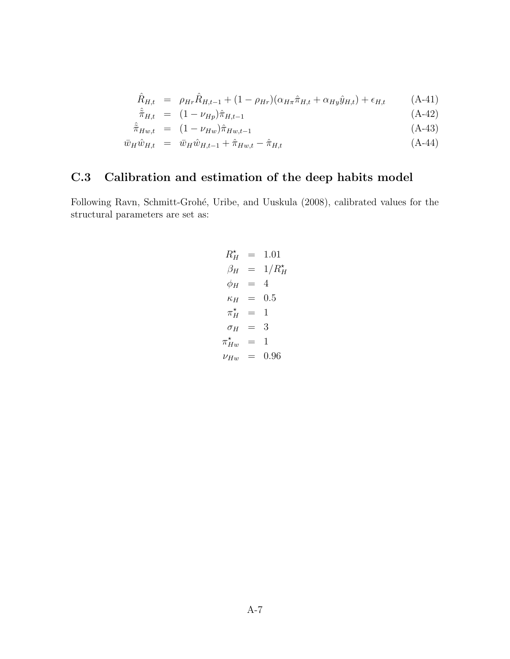$$
\hat{R}_{H,t} = \rho_{Hr} \hat{R}_{H,t-1} + (1 - \rho_{Hr}) (\alpha_{H\pi} \hat{\pi}_{H,t} + \alpha_{Hy} \hat{y}_{H,t}) + \epsilon_{H,t} \tag{A-41}
$$

$$
\hat{\tilde{\pi}}_{H,t} = (1 - \nu_{Hp})\hat{\pi}_{H,t-1} \tag{A-42}
$$

$$
\hat{\pi}_{Hw,t} = (1 - \nu_{Hw})\hat{\pi}_{Hw,t-1} \tag{A-43}
$$

$$
\bar{w}_H \hat{w}_{H,t} = \bar{w}_H \hat{w}_{H,t-1} + \hat{\pi}_{Hw,t} - \hat{\pi}_{H,t} \tag{A-44}
$$

## C.3 Calibration and estimation of the deep habits model

Following Ravn, Schmitt-Grohé, Uribe, and Uuskula (2008), calibrated values for the structural parameters are set as:

$$
R_H^* = 1.01
$$
  
\n
$$
\beta_H = 1/R_H^*
$$
  
\n
$$
\phi_H = 4
$$
  
\n
$$
\kappa_H = 0.5
$$
  
\n
$$
\pi_H^* = 1
$$
  
\n
$$
\sigma_H = 3
$$
  
\n
$$
\pi_{Hw}^* = 1
$$
  
\n
$$
\nu_{Hw} = 0.96
$$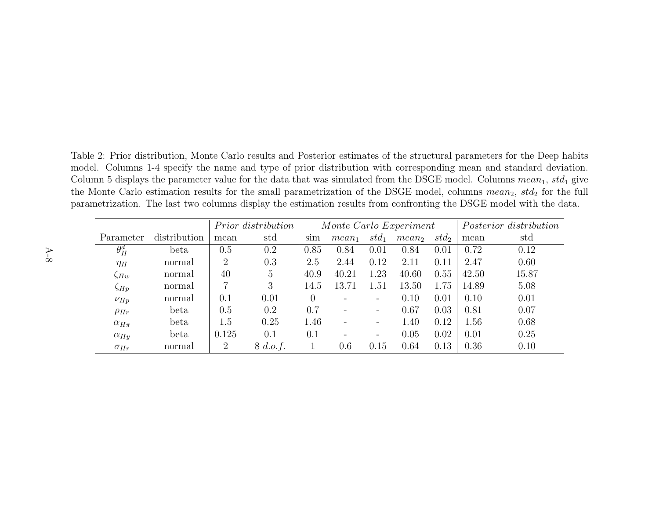Table 2: Prior distribution, Monte Carlo results and Posterior estimates of the structural parameters for the Deep habits model. Columns 1-4 specify the name and type of prior distribution with corresponding mean and standard deviation. Column 5 displays the parameter value for the data that was simulated from the DSGE model. Columns  $mean_1, std_1$  give the Monte Carlo estimation results for the small parametrization of the DSGE model, columns mean<sub>2</sub>,  $std_2$  for the full parametrization. The last two columns display the estimation results from confronting the DSGE model with the data.

|                 |              | Prior distribution |                | Monte Carlo Experiment |          |                          | Posterior distribution |                  |       |       |
|-----------------|--------------|--------------------|----------------|------------------------|----------|--------------------------|------------------------|------------------|-------|-------|
| Parameter       | distribution | mean               | std            | sum                    | $mean_1$ | $std_1$                  | mean <sub>2</sub>      | std <sub>2</sub> | mean  | std   |
| $\theta_H^d$    | beta         | 0.5                | 0.2            | 0.85                   | 0.84     | 0.01                     | 0.84                   | 0.01             | 0.72  | 0.12  |
| $\eta_H$        | normal       | 2                  | 0.3            | 2.5                    | 2.44     | 0.12                     | 2.11                   | 0.11             | 2.47  | 0.60  |
| $\zeta Hw$      | normal       | 40                 | $\overline{5}$ | 40.9                   | 40.21    | 1.23                     | 40.60                  | 0.55             | 42.50 | 15.87 |
| $\zeta_{Hp}$    | normal       | 7                  | 3              | 14.5                   | 13.71    | 1.51                     | 13.50                  | 1.75             | 14.89 | 5.08  |
| $\nu_{Hp}$      | normal       | 0.1                | 0.01           | $\theta$               |          | Ξ.                       | 0.10                   | 0.01             | 0.10  | 0.01  |
| $\rho_{Hr}$     | beta         | 0.5                | 0.2            | 0.7                    |          | $\overline{\phantom{0}}$ | 0.67                   | 0.03             | 0.81  | 0.07  |
| $\alpha_{H\pi}$ | beta         | 1.5                | 0.25           | 1.46                   |          | Ξ.                       | 1.40                   | 0.12             | 1.56  | 0.68  |
| $\alpha_{Hy}$   | beta         | 0.125              | 0.1            | 0.1                    |          | Ξ.                       | 0.05                   | 0.02             | 0.01  | 0.25  |
| $\sigma_{Hr}$   | normal       | $\overline{2}$     | 8 d.o.f.       |                        | 0.6      | 0.15                     | 0.64                   | 0.13             | 0.36  | 0.10  |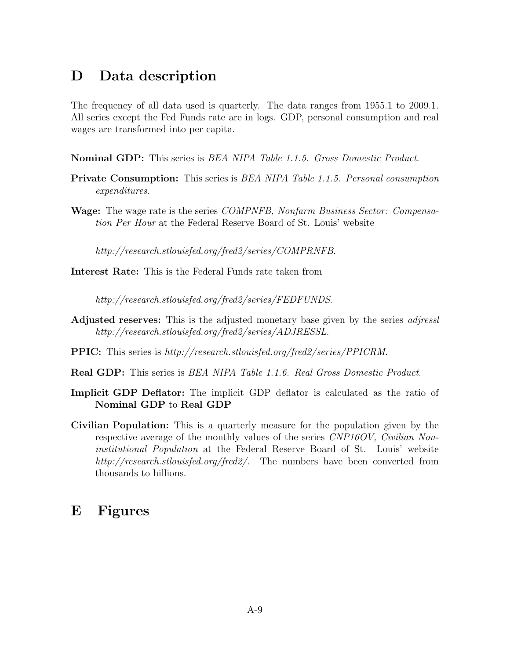## D Data description

The frequency of all data used is quarterly. The data ranges from 1955.1 to 2009.1. All series except the Fed Funds rate are in logs. GDP, personal consumption and real wages are transformed into per capita.

Nominal GDP: This series is BEA NIPA Table 1.1.5. Gross Domestic Product.

- Private Consumption: This series is BEA NIPA Table 1.1.5. Personal consumption expenditures.
- Wage: The wage rate is the series *COMPNFB*, *Nonfarm Business Sector: Compensa*tion Per Hour at the Federal Reserve Board of St. Louis' website

http://research.stlouisfed.org/fred2/series/COMPRNFB.

Interest Rate: This is the Federal Funds rate taken from

http://research.stlouisfed.org/fred2/series/FEDFUNDS.

- **Adjusted reserves:** This is the adjusted monetary base given by the series *adjressl* http://research.stlouisfed.org/fred2/series/ADJRESSL.
- PPIC: This series is http://research.stlouisfed.org/fred2/series/PPICRM.
- Real GDP: This series is BEA NIPA Table 1.1.6. Real Gross Domestic Product.
- Implicit GDP Deflator: The implicit GDP deflator is calculated as the ratio of Nominal GDP to Real GDP
- Civilian Population: This is a quarterly measure for the population given by the respective average of the monthly values of the series CNP16OV, Civilian Noninstitutional Population at the Federal Reserve Board of St. Louis' website http://research.stlouisfed.org/fred2/. The numbers have been converted from thousands to billions.

## E Figures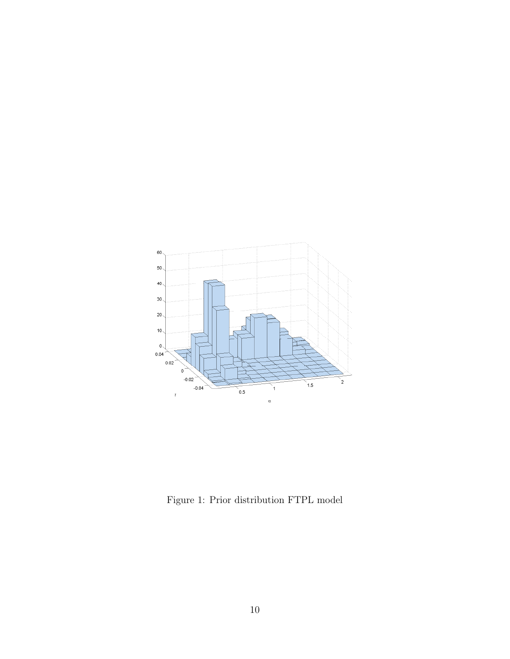

Figure 1: Prior distribution FTPL model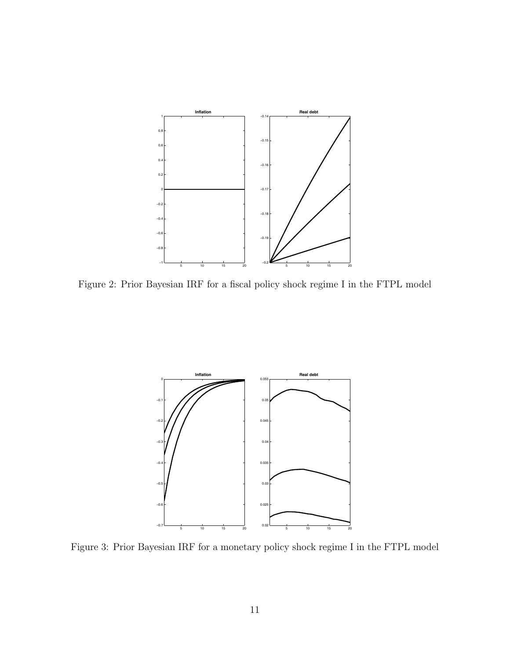

Figure 2: Prior Bayesian IRF for a fiscal policy shock regime I in the FTPL model



Figure 3: Prior Bayesian IRF for a monetary policy shock regime I in the FTPL model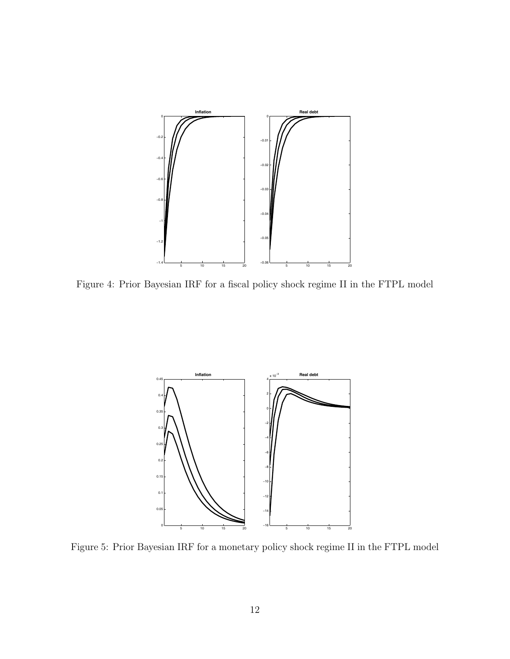

Figure 4: Prior Bayesian IRF for a fiscal policy shock regime II in the FTPL model



Figure 5: Prior Bayesian IRF for a monetary policy shock regime II in the FTPL model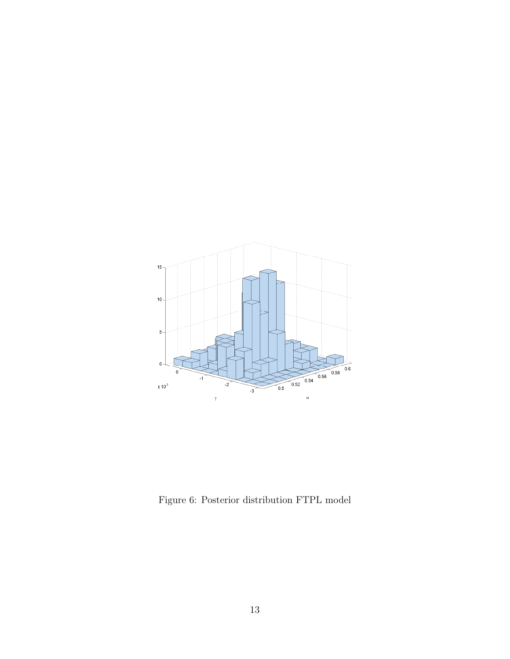

Figure 6: Posterior distribution FTPL model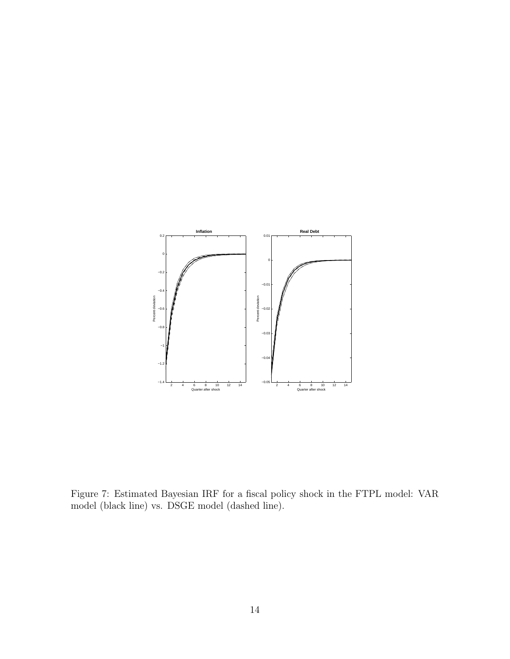

Figure 7: Estimated Bayesian IRF for a fiscal policy shock in the FTPL model: VAR model (black line) vs. DSGE model (dashed line).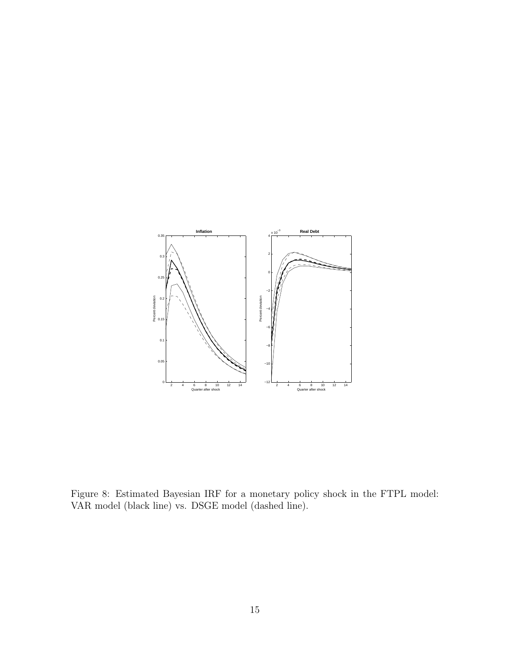

Figure 8: Estimated Bayesian IRF for a monetary policy shock in the FTPL model: VAR model (black line) vs. DSGE model (dashed line).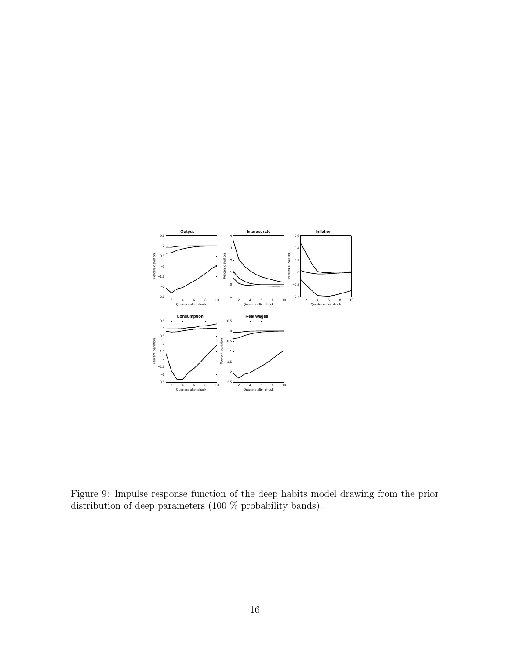

Figure 9: Impulse response function of the deep habits model drawing from the prior distribution of deep parameters (100 % probability bands).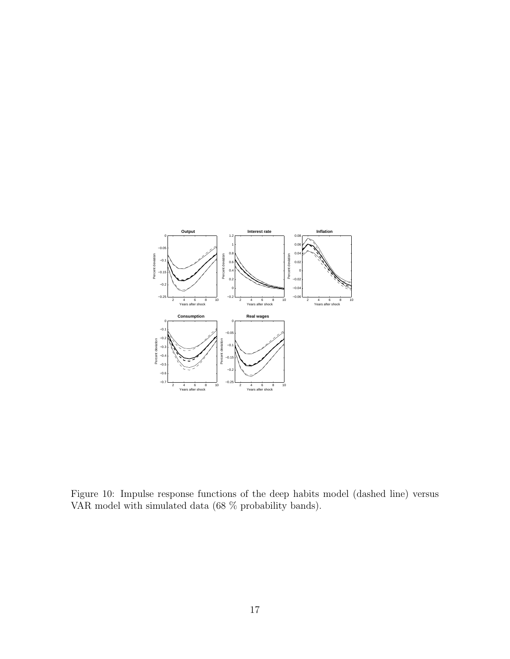

Figure 10: Impulse response functions of the deep habits model (dashed line) versus VAR model with simulated data (68 % probability bands).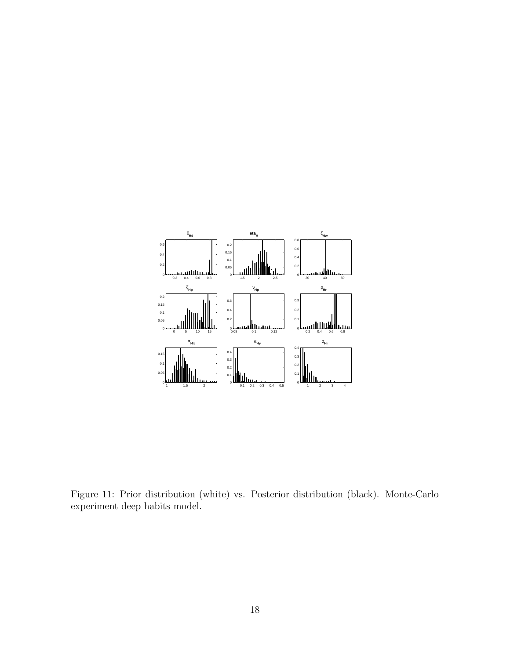

Figure 11: Prior distribution (white) vs. Posterior distribution (black). Monte-Carlo experiment deep habits model.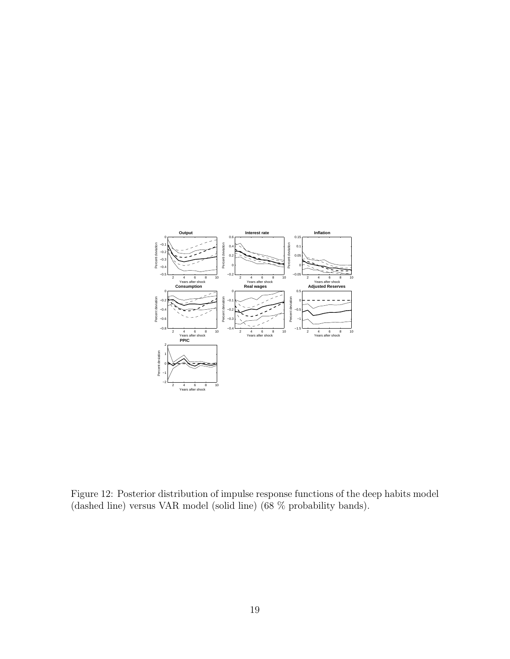

Figure 12: Posterior distribution of impulse response functions of the deep habits model (dashed line) versus VAR model (solid line) (68 % probability bands).